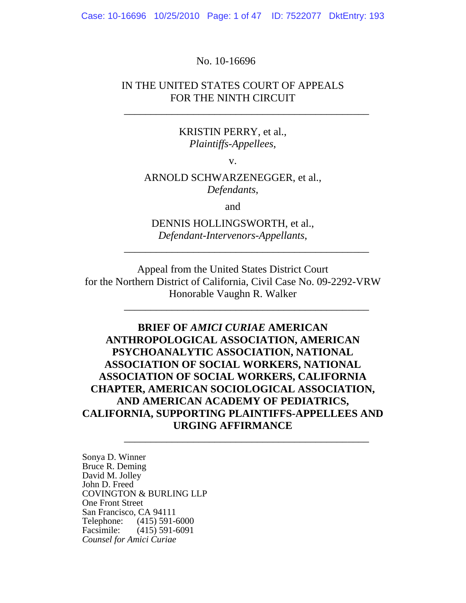Case: 10-16696 10/25/2010 Page: 1 of 47 ID: 7522077 DktEntry: 193

#### No. 10-16696

## IN THE UNITED STATES COURT OF APPEALS FOR THE NINTH CIRCUIT

\_\_\_\_\_\_\_\_\_\_\_\_\_\_\_\_\_\_\_\_\_\_\_\_\_\_\_\_\_\_\_\_\_\_\_\_\_\_\_\_\_\_\_\_\_\_

#### KRISTIN PERRY, et al., *Plaintiffs-Appellees*,

v.

## ARNOLD SCHWARZENEGGER, et al., *Defendants*,

and

# DENNIS HOLLINGSWORTH, et al., *Defendant-Intervenors-Appellants*,

\_\_\_\_\_\_\_\_\_\_\_\_\_\_\_\_\_\_\_\_\_\_\_\_\_\_\_\_\_\_\_\_\_\_\_\_\_\_\_\_\_\_\_\_\_\_

\_\_\_\_\_\_\_\_\_\_\_\_\_\_\_\_\_\_\_\_\_\_\_\_\_\_\_\_\_\_\_\_\_\_\_\_\_\_\_\_\_\_\_\_\_\_

Appeal from the United States District Court for the Northern District of California, Civil Case No. 09-2292-VRW Honorable Vaughn R. Walker

# **BRIEF OF** *AMICI CURIAE* **AMERICAN ANTHROPOLOGICAL ASSOCIATION, AMERICAN PSYCHOANALYTIC ASSOCIATION, NATIONAL ASSOCIATION OF SOCIAL WORKERS, NATIONAL ASSOCIATION OF SOCIAL WORKERS, CALIFORNIA CHAPTER, AMERICAN SOCIOLOGICAL ASSOCIATION, AND AMERICAN ACADEMY OF PEDIATRICS, CALIFORNIA, SUPPORTING PLAINTIFFS-APPELLEES AND URGING AFFIRMANCE**  \_\_\_\_\_\_\_\_\_\_\_\_\_\_\_\_\_\_\_\_\_\_\_\_\_\_\_\_\_\_\_\_\_\_\_\_\_\_\_\_\_\_\_\_\_\_

Sonya D. Winner Bruce R. Deming David M. Jolley John D. Freed COVINGTON & BURLING LLP One Front Street San Francisco, CA 94111 Telephone: (415) 591-6000 Facsimile: (415) 591-6091 *Counsel for Amici Curiae*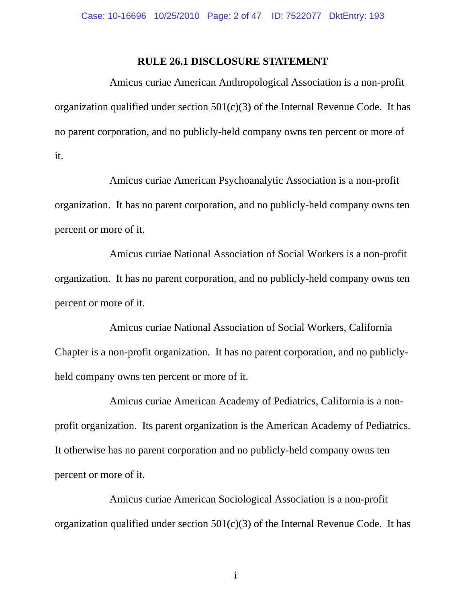#### **RULE 26.1 DISCLOSURE STATEMENT**

Amicus curiae American Anthropological Association is a non-profit organization qualified under section  $501(c)(3)$  of the Internal Revenue Code. It has no parent corporation, and no publicly-held company owns ten percent or more of it.

Amicus curiae American Psychoanalytic Association is a non-profit organization. It has no parent corporation, and no publicly-held company owns ten percent or more of it.

Amicus curiae National Association of Social Workers is a non-profit organization. It has no parent corporation, and no publicly-held company owns ten percent or more of it.

Amicus curiae National Association of Social Workers, California Chapter is a non-profit organization. It has no parent corporation, and no publiclyheld company owns ten percent or more of it.

Amicus curiae American Academy of Pediatrics, California is a nonprofit organization. Its parent organization is the American Academy of Pediatrics. It otherwise has no parent corporation and no publicly-held company owns ten percent or more of it.

Amicus curiae American Sociological Association is a non-profit organization qualified under section  $501(c)(3)$  of the Internal Revenue Code. It has

i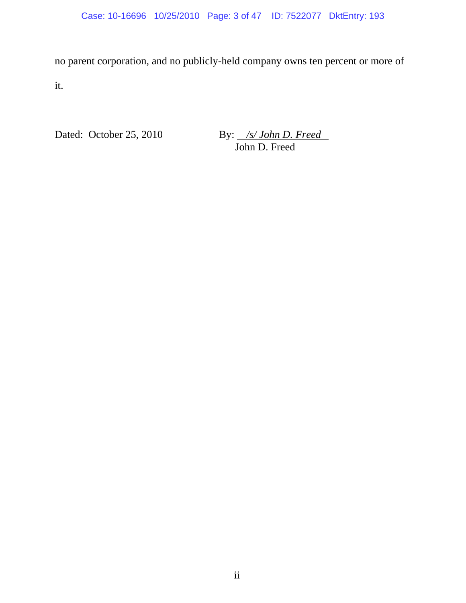no parent corporation, and no publicly-held company owns ten percent or more of it.

Dated: October 25, 2010

By: <u>/s/John D. Freed</u><br>John D. Freed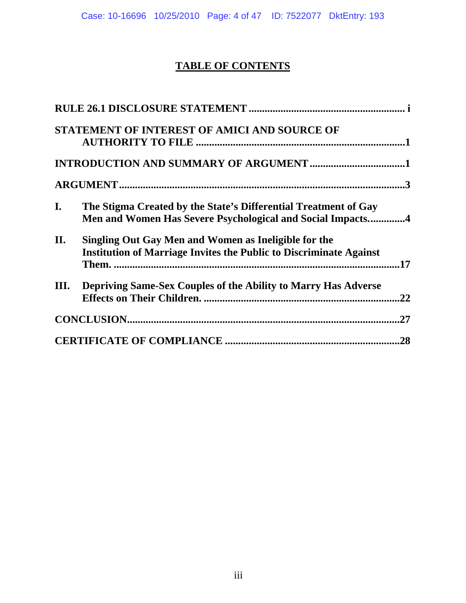Case: 10-16696 10/25/2010 Page: 4 of 47 ID: 7522077 DktEntry: 193

# **TABLE OF CONTENTS**

|      | STATEMENT OF INTEREST OF AMICI AND SOURCE OF                                                                                      |     |
|------|-----------------------------------------------------------------------------------------------------------------------------------|-----|
|      |                                                                                                                                   |     |
|      |                                                                                                                                   |     |
| I.   | The Stigma Created by the State's Differential Treatment of Gay<br>Men and Women Has Severe Psychological and Social Impacts4     |     |
| II.  | Singling Out Gay Men and Women as Ineligible for the<br><b>Institution of Marriage Invites the Public to Discriminate Against</b> |     |
| III. | Depriving Same-Sex Couples of the Ability to Marry Has Adverse                                                                    | .22 |
|      |                                                                                                                                   |     |
|      |                                                                                                                                   |     |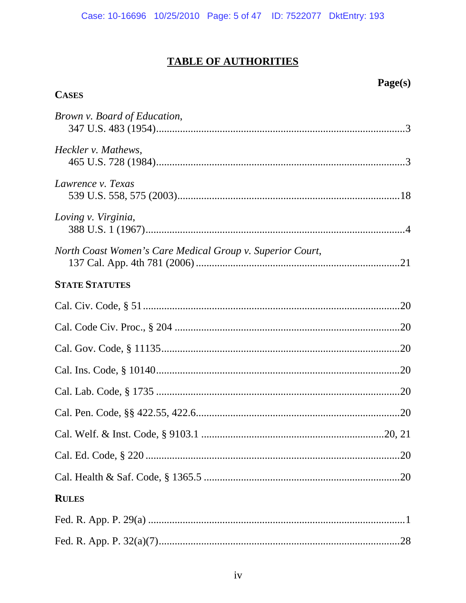# **TABLE OF AUTHORITIES**

**CASES** 

# Page(s)

| Brown v. Board of Education,                              |  |
|-----------------------------------------------------------|--|
| Heckler v. Mathews,                                       |  |
| Lawrence v. Texas                                         |  |
| Loving v. Virginia,                                       |  |
| North Coast Women's Care Medical Group v. Superior Court, |  |
| <b>STATE STATUTES</b>                                     |  |
|                                                           |  |
|                                                           |  |
|                                                           |  |
|                                                           |  |
|                                                           |  |
|                                                           |  |
|                                                           |  |
|                                                           |  |
|                                                           |  |
| <b>RULES</b>                                              |  |
|                                                           |  |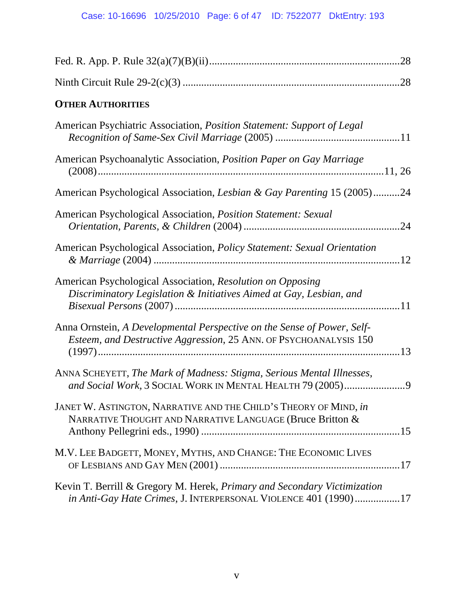| <b>OTHER AUTHORITIES</b>                                                                                                                     |  |
|----------------------------------------------------------------------------------------------------------------------------------------------|--|
| American Psychiatric Association, <i>Position Statement: Support of Legal</i>                                                                |  |
| American Psychoanalytic Association, Position Paper on Gay Marriage                                                                          |  |
| American Psychological Association, Lesbian & Gay Parenting 15 (2005)24                                                                      |  |
| American Psychological Association, Position Statement: Sexual                                                                               |  |
| American Psychological Association, Policy Statement: Sexual Orientation                                                                     |  |
| American Psychological Association, Resolution on Opposing<br>Discriminatory Legislation & Initiatives Aimed at Gay, Lesbian, and            |  |
| Anna Ornstein, A Developmental Perspective on the Sense of Power, Self-<br>Esteem, and Destructive Aggression, 25 ANN. OF PSYCHOANALYSIS 150 |  |
| ANNA SCHEYETT, The Mark of Madness: Stigma, Serious Mental Illnesses,                                                                        |  |
| JANET W. ASTINGTON, NARRATIVE AND THE CHILD'S THEORY OF MIND, in<br>NARRATIVE THOUGHT AND NARRATIVE LANGUAGE (Bruce Britton &                |  |
| M.V. LEE BADGETT, MONEY, MYTHS, AND CHANGE: THE ECONOMIC LIVES                                                                               |  |
| Kevin T. Berrill & Gregory M. Herek, Primary and Secondary Victimization<br>in Anti-Gay Hate Crimes, J. INTERPERSONAL VIOLENCE 401 (1990)17  |  |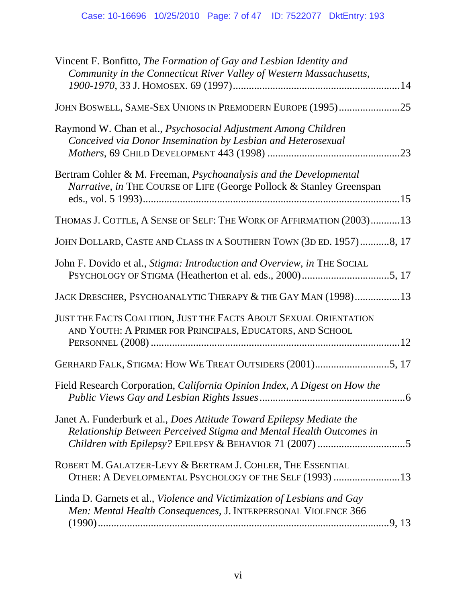| Vincent F. Bonfitto, The Formation of Gay and Lesbian Identity and<br>Community in the Connecticut River Valley of Western Massachusetts,    |
|----------------------------------------------------------------------------------------------------------------------------------------------|
| JOHN BOSWELL, SAME-SEX UNIONS IN PREMODERN EUROPE (1995)25                                                                                   |
| Raymond W. Chan et al., Psychosocial Adjustment Among Children<br>Conceived via Donor Insemination by Lesbian and Heterosexual               |
| Bertram Cohler & M. Freeman, Psychoanalysis and the Developmental<br>Narrative, in THE COURSE OF LIFE (George Pollock & Stanley Greenspan    |
| THOMAS J. COTTLE, A SENSE OF SELF: THE WORK OF AFFIRMATION (2003)13                                                                          |
| JOHN DOLLARD, CASTE AND CLASS IN A SOUTHERN TOWN (3D ED. 1957)8, 17                                                                          |
| John F. Dovido et al., Stigma: Introduction and Overview, in THE SOCIAL                                                                      |
| JACK DRESCHER, PSYCHOANALYTIC THERAPY & THE GAY MAN (1998)13                                                                                 |
| JUST THE FACTS COALITION, JUST THE FACTS ABOUT SEXUAL ORIENTATION<br>AND YOUTH: A PRIMER FOR PRINCIPALS, EDUCATORS, AND SCHOOL               |
| GERHARD FALK, STIGMA: HOW WE TREAT OUTSIDERS (2001)5, 17                                                                                     |
| Field Research Corporation, California Opinion Index, A Digest on How the<br>.6                                                              |
| Janet A. Funderburk et al., Does Attitude Toward Epilepsy Mediate the<br>Relationship Between Perceived Stigma and Mental Health Outcomes in |
| ROBERT M. GALATZER-LEVY & BERTRAM J. COHLER, THE ESSENTIAL<br>OTHER: A DEVELOPMENTAL PSYCHOLOGY OF THE SELF (1993) 13                        |
| Linda D. Garnets et al., Violence and Victimization of Lesbians and Gay<br>Men: Mental Health Consequences, J. INTERPERSONAL VIOLENCE 366    |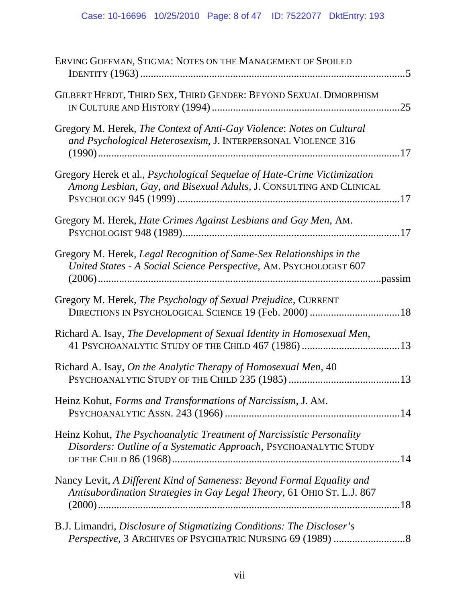| ERVING GOFFMAN, STIGMA: NOTES ON THE MANAGEMENT OF SPOILED                                                                                      |
|-------------------------------------------------------------------------------------------------------------------------------------------------|
| GILBERT HERDT, THIRD SEX, THIRD GENDER: BEYOND SEXUAL DIMORPHISM<br>.25                                                                         |
| Gregory M. Herek, The Context of Anti-Gay Violence: Notes on Cultural<br>and Psychological Heterosexism, J. INTERPERSONAL VIOLENCE 316          |
| Gregory Herek et al., Psychological Sequelae of Hate-Crime Victimization<br>Among Lesbian, Gay, and Bisexual Adults, J. CONSULTING AND CLINICAL |
| Gregory M. Herek, Hate Crimes Against Lesbians and Gay Men, AM.                                                                                 |
| Gregory M. Herek, Legal Recognition of Same-Sex Relationships in the<br>United States - A Social Science Perspective, AM. PSYCHOLOGIST 607      |
| Gregory M. Herek, The Psychology of Sexual Prejudice, CURRENT                                                                                   |
| Richard A. Isay, The Development of Sexual Identity in Homosexual Men,                                                                          |
| Richard A. Isay, On the Analytic Therapy of Homosexual Men, 40                                                                                  |
| Heinz Kohut, Forms and Transformations of Narcissism, J. AM.                                                                                    |
| Heinz Kohut, The Psychoanalytic Treatment of Narcissistic Personality<br>Disorders: Outline of a Systematic Approach, PSYCHOANALYTIC STUDY      |
| Nancy Levit, A Different Kind of Sameness: Beyond Formal Equality and<br>Antisubordination Strategies in Gay Legal Theory, 61 OHIO ST. L.J. 867 |
| B.J. Limandri, Disclosure of Stigmatizing Conditions: The Discloser's                                                                           |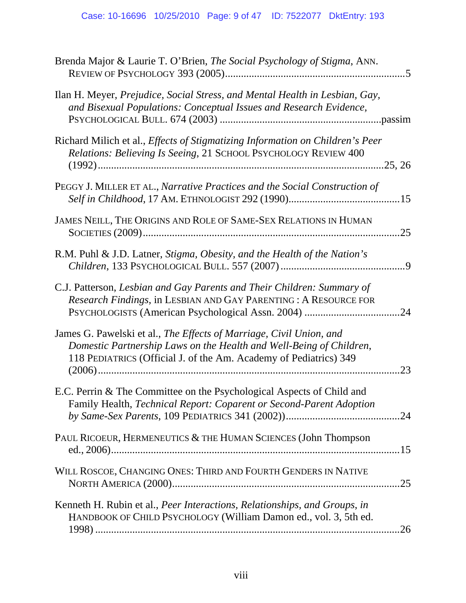| Brenda Major & Laurie T. O'Brien, The Social Psychology of Stigma, ANN.                                                                                                                                                |
|------------------------------------------------------------------------------------------------------------------------------------------------------------------------------------------------------------------------|
| Ilan H. Meyer, Prejudice, Social Stress, and Mental Health in Lesbian, Gay,<br>and Bisexual Populations: Conceptual Issues and Research Evidence,                                                                      |
| Richard Milich et al., <i>Effects of Stigmatizing Information on Children's Peer</i><br>Relations: Believing Is Seeing, 21 SCHOOL PSYCHOLOGY REVIEW 400                                                                |
| PEGGY J. MILLER ET AL., Narrative Practices and the Social Construction of                                                                                                                                             |
| JAMES NEILL, THE ORIGINS AND ROLE OF SAME-SEX RELATIONS IN HUMAN<br>.25                                                                                                                                                |
| R.M. Puhl & J.D. Latner, Stigma, Obesity, and the Health of the Nation's                                                                                                                                               |
| C.J. Patterson, Lesbian and Gay Parents and Their Children: Summary of<br>Research Findings, in LESBIAN AND GAY PARENTING : A RESOURCE FOR                                                                             |
| James G. Pawelski et al., The Effects of Marriage, Civil Union, and<br>Domestic Partnership Laws on the Health and Well-Being of Children,<br>118 PEDIATRICS (Official J. of the Am. Academy of Pediatrics) 349<br>.23 |
| E.C. Perrin & The Committee on the Psychological Aspects of Child and<br>Family Health, Technical Report: Coparent or Second-Parent Adoption                                                                           |
| PAUL RICOEUR, HERMENEUTICS & THE HUMAN SCIENCES (John Thompson                                                                                                                                                         |
| WILL ROSCOE, CHANGING ONES: THIRD AND FOURTH GENDERS IN NATIVE<br>.25                                                                                                                                                  |
| Kenneth H. Rubin et al., Peer Interactions, Relationships, and Groups, in<br>HANDBOOK OF CHILD PSYCHOLOGY (William Damon ed., vol. 3, 5th ed.<br>.26                                                                   |
|                                                                                                                                                                                                                        |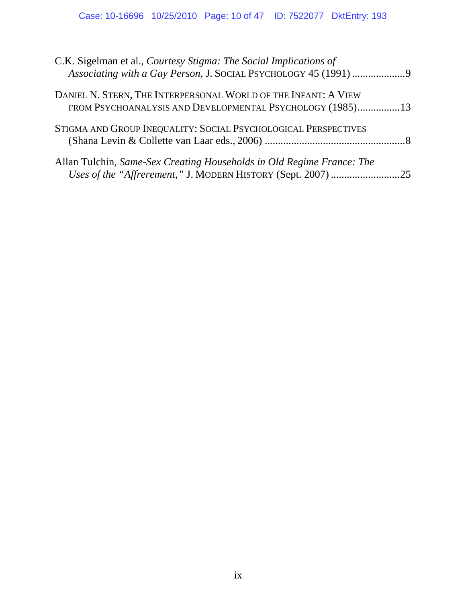# Case: 10-16696 10/25/2010 Page: 10 of 47 ID: 7522077 DktEntry: 193

| C.K. Sigelman et al., Courtesy Stigma: The Social Implications of<br>Associating with a Gay Person, J. SOCIAL PSYCHOLOGY 45 (1991) 9 |  |
|--------------------------------------------------------------------------------------------------------------------------------------|--|
| DANIEL N. STERN, THE INTERPERSONAL WORLD OF THE INFANT: A VIEW<br>FROM PSYCHOANALYSIS AND DEVELOPMENTAL PSYCHOLOGY (1985)13          |  |
| STIGMA AND GROUP INEQUALITY: SOCIAL PSYCHOLOGICAL PERSPECTIVES                                                                       |  |
| Allan Tulchin, Same-Sex Creating Households in Old Regime France: The                                                                |  |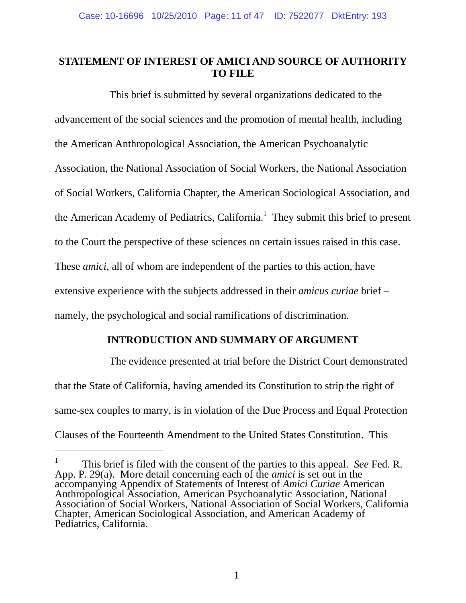# **STATEMENT OF INTEREST OF AMICI AND SOURCE OF AUTHORITY TO FILE**

This brief is submitted by several organizations dedicated to the advancement of the social sciences and the promotion of mental health, including the American Anthropological Association, the American Psychoanalytic Association, the National Association of Social Workers, the National Association of Social Workers, California Chapter, the American Sociological Association, and the American Academy of Pediatrics, California.<sup>1</sup> They submit this brief to present to the Court the perspective of these sciences on certain issues raised in this case. These *amici*, all of whom are independent of the parties to this action, have extensive experience with the subjects addressed in their *amicus curiae* brief – namely, the psychological and social ramifications of discrimination.

# **INTRODUCTION AND SUMMARY OF ARGUMENT**

The evidence presented at trial before the District Court demonstrated that the State of California, having amended its Constitution to strip the right of same-sex couples to marry, is in violation of the Due Process and Equal Protection Clauses of the Fourteenth Amendment to the United States Constitution. This

<sup>1</sup> This brief is filed with the consent of the parties to this appeal. *See* Fed. R. App. P. 29(a). More detail concerning each of the *amici* is set out in the accompanying Appendix of Statements of Interest of *Amici Curiae* American Anthropological Association, American Psychoanalytic Association, National Association of Social Workers, National Association of Social Workers, California Chapter, American Sociological Association, and American Academy of Pediatrics, California.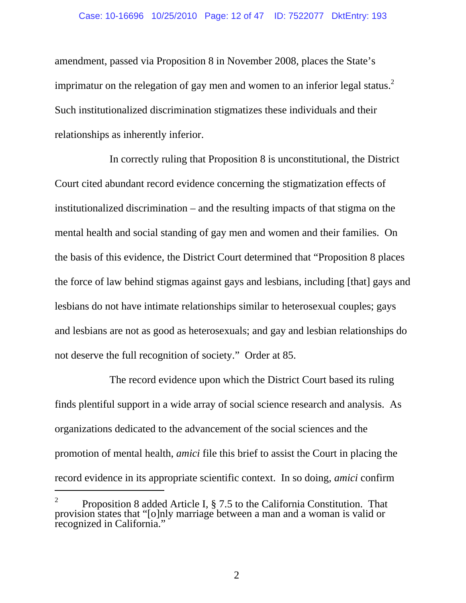#### Case: 10-16696 10/25/2010 Page: 12 of 47 ID: 7522077 DktEntry: 193

amendment, passed via Proposition 8 in November 2008, places the State's imprimatur on the relegation of gay men and women to an inferior legal status.<sup>2</sup> Such institutionalized discrimination stigmatizes these individuals and their relationships as inherently inferior.

In correctly ruling that Proposition 8 is unconstitutional, the District Court cited abundant record evidence concerning the stigmatization effects of institutionalized discrimination – and the resulting impacts of that stigma on the mental health and social standing of gay men and women and their families. On the basis of this evidence, the District Court determined that "Proposition 8 places the force of law behind stigmas against gays and lesbians, including [that] gays and lesbians do not have intimate relationships similar to heterosexual couples; gays and lesbians are not as good as heterosexuals; and gay and lesbian relationships do not deserve the full recognition of society." Order at 85.

The record evidence upon which the District Court based its ruling finds plentiful support in a wide array of social science research and analysis. As organizations dedicated to the advancement of the social sciences and the promotion of mental health, *amici* file this brief to assist the Court in placing the record evidence in its appropriate scientific context. In so doing, *amici* confirm  $\overline{a}$ 

 $\mathcal{L}$ 

<sup>2</sup> Proposition 8 added Article I, § 7.5 to the California Constitution. That provision states that "[o]nly marriage between a man and a woman is valid or recognized in California."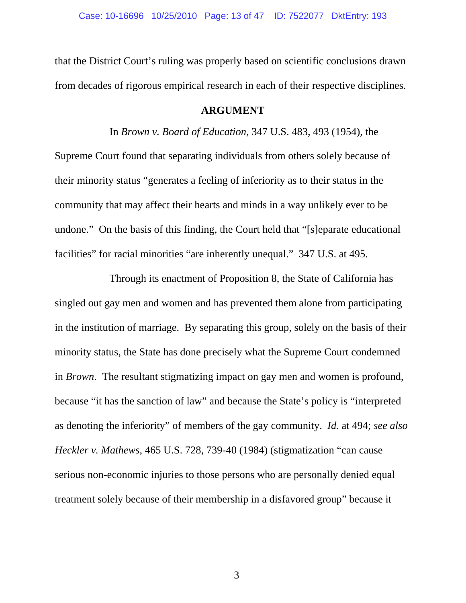that the District Court's ruling was properly based on scientific conclusions drawn from decades of rigorous empirical research in each of their respective disciplines.

#### **ARGUMENT**

In *Brown v. Board of Education*, 347 U.S. 483, 493 (1954), the

Supreme Court found that separating individuals from others solely because of their minority status "generates a feeling of inferiority as to their status in the community that may affect their hearts and minds in a way unlikely ever to be undone." On the basis of this finding, the Court held that "[s]eparate educational facilities" for racial minorities "are inherently unequal." 347 U.S. at 495.

Through its enactment of Proposition 8, the State of California has singled out gay men and women and has prevented them alone from participating in the institution of marriage. By separating this group, solely on the basis of their minority status, the State has done precisely what the Supreme Court condemned in *Brown*. The resultant stigmatizing impact on gay men and women is profound, because "it has the sanction of law" and because the State's policy is "interpreted as denoting the inferiority" of members of the gay community. *Id.* at 494; *see also Heckler v. Mathews*, 465 U.S. 728, 739-40 (1984) (stigmatization "can cause serious non-economic injuries to those persons who are personally denied equal treatment solely because of their membership in a disfavored group" because it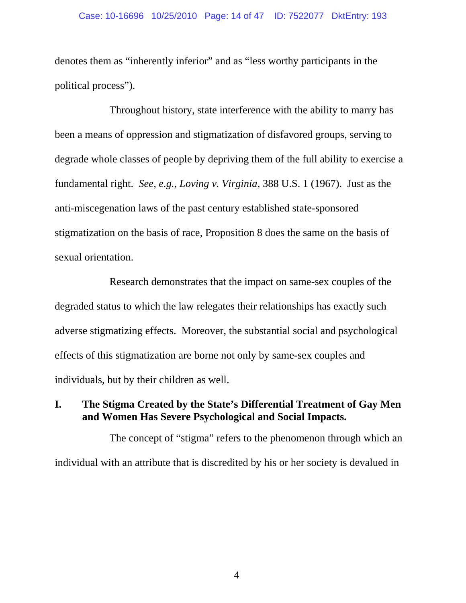#### Case: 10-16696 10/25/2010 Page: 14 of 47 ID: 7522077 DktEntry: 193

denotes them as "inherently inferior" and as "less worthy participants in the political process").

Throughout history, state interference with the ability to marry has been a means of oppression and stigmatization of disfavored groups, serving to degrade whole classes of people by depriving them of the full ability to exercise a fundamental right. *See, e.g.*, *Loving v. Virginia*, 388 U.S. 1 (1967). Just as the anti-miscegenation laws of the past century established state-sponsored stigmatization on the basis of race, Proposition 8 does the same on the basis of sexual orientation.

Research demonstrates that the impact on same-sex couples of the degraded status to which the law relegates their relationships has exactly such adverse stigmatizing effects. Moreover, the substantial social and psychological effects of this stigmatization are borne not only by same-sex couples and individuals, but by their children as well.

# **I. The Stigma Created by the State's Differential Treatment of Gay Men and Women Has Severe Psychological and Social Impacts.**

The concept of "stigma" refers to the phenomenon through which an individual with an attribute that is discredited by his or her society is devalued in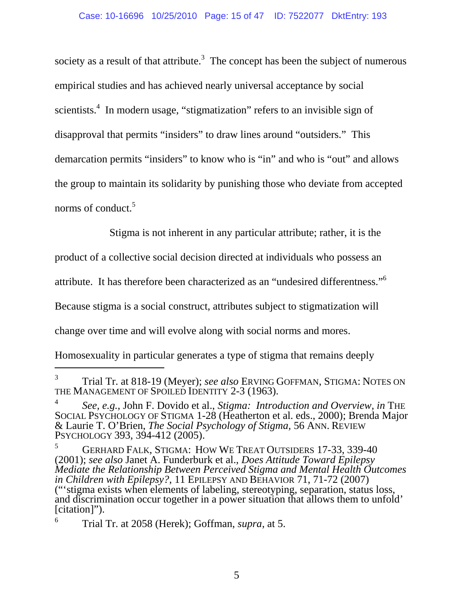society as a result of that attribute.<sup>3</sup> The concept has been the subject of numerous empirical studies and has achieved nearly universal acceptance by social scientists.<sup>4</sup> In modern usage, "stigmatization" refers to an invisible sign of disapproval that permits "insiders" to draw lines around "outsiders." This demarcation permits "insiders" to know who is "in" and who is "out" and allows the group to maintain its solidarity by punishing those who deviate from accepted norms of conduct.<sup>5</sup>

Stigma is not inherent in any particular attribute; rather, it is the

product of a collective social decision directed at individuals who possess an

attribute. It has therefore been characterized as an "undesired differentness."6

Because stigma is a social construct, attributes subject to stigmatization will

change over time and will evolve along with social norms and mores.

Homosexuality in particular generates a type of stigma that remains deeply

l

<sup>3</sup> Trial Tr. at 818-19 (Meyer); *see also* ERVING GOFFMAN, STIGMA: NOTES ON THE MANAGEMENT OF SPOILED IDENTITY 2-3 (1963).

<sup>4</sup> *See, e.g.*, John F. Dovido et al., *Stigma: Introduction and Overview, in* THE SOCIAL PSYCHOLOGY OF STIGMA 1-28 (Heatherton et al. eds., 2000); Brenda Major & Laurie T. O'Brien, *The Social Psychology of Stigma,* 56 ANN. REVIEW PSYCHOLOGY 393, 394-412 (2005).

<sup>5</sup> GERHARD FALK, STIGMA: HOW WE TREAT OUTSIDERS 17-33, 339-40 (2001); *see also* Janet A. Funderburk et al., *Does Attitude Toward Epilepsy Mediate the Relationship Between Perceived Stigma and Mental Health Outcomes in Children with Epilepsy?*, 11 EPILEPSY AND BEHAVIOR 71, 71-72 (2007) ("'stigma exists when elements of labeling, stereotyping, separation, status loss, and discrimination occur together in a power situation that allows them to unfold' [citation]").

<sup>6</sup> Trial Tr. at 2058 (Herek); Goffman, *supra*, at 5.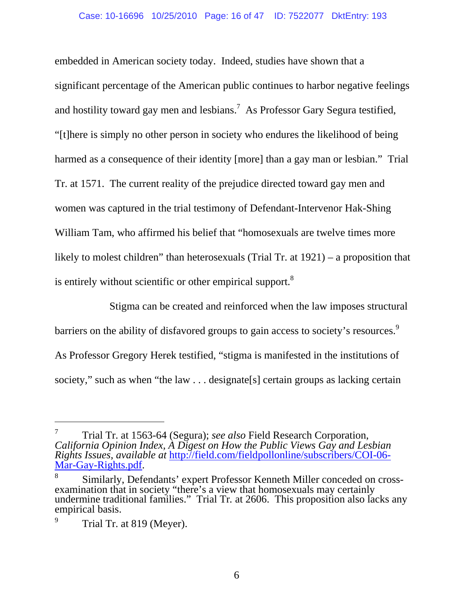embedded in American society today. Indeed, studies have shown that a significant percentage of the American public continues to harbor negative feelings and hostility toward gay men and lesbians.<sup>7</sup> As Professor Gary Segura testified, "[t]here is simply no other person in society who endures the likelihood of being harmed as a consequence of their identity [more] than a gay man or lesbian." Trial Tr. at 1571. The current reality of the prejudice directed toward gay men and women was captured in the trial testimony of Defendant-Intervenor Hak-Shing William Tam, who affirmed his belief that "homosexuals are twelve times more likely to molest children" than heterosexuals (Trial Tr. at 1921) – a proposition that is entirely without scientific or other empirical support.<sup>8</sup>

Stigma can be created and reinforced when the law imposes structural barriers on the ability of disfavored groups to gain access to society's resources.<sup>9</sup> As Professor Gregory Herek testified, "stigma is manifested in the institutions of society," such as when "the law . . . designate[s] certain groups as lacking certain

-

<sup>7</sup> Trial Tr. at 1563-64 (Segura); *see also* Field Research Corporation, *California Opinion Index, A Digest on How the Public Views Gay and Lesbian Rights Issues*, *available at* http://field.com/fieldpollonline/subscribers/COI-06- Mar-Gay-Rights.pdf.

<sup>8</sup> Similarly, Defendants' expert Professor Kenneth Miller conceded on crossexamination that in society "there's a view that homosexuals may certainly undermine traditional families." Trial Tr*.* at 2606. This proposition also lacks any empirical basis.

<sup>9</sup> Trial Tr. at 819 (Meyer).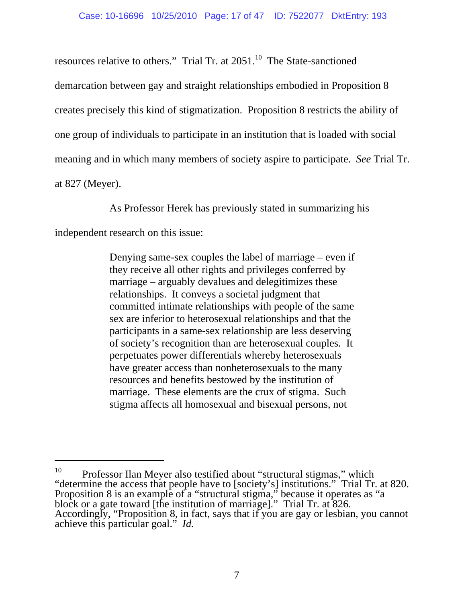resources relative to others." Trial Tr. at  $2051$ .<sup>10</sup> The State-sanctioned demarcation between gay and straight relationships embodied in Proposition 8 creates precisely this kind of stigmatization. Proposition 8 restricts the ability of one group of individuals to participate in an institution that is loaded with social meaning and in which many members of society aspire to participate. *See* Trial Tr. at 827 (Meyer).

As Professor Herek has previously stated in summarizing his

independent research on this issue:

 $\overline{a}$ 

Denying same-sex couples the label of marriage – even if they receive all other rights and privileges conferred by marriage – arguably devalues and delegitimizes these relationships. It conveys a societal judgment that committed intimate relationships with people of the same sex are inferior to heterosexual relationships and that the participants in a same-sex relationship are less deserving of society's recognition than are heterosexual couples. It perpetuates power differentials whereby heterosexuals have greater access than nonheterosexuals to the many resources and benefits bestowed by the institution of marriage. These elements are the crux of stigma. Such stigma affects all homosexual and bisexual persons, not

<sup>&</sup>lt;sup>10</sup> Professor Ilan Meyer also testified about "structural stigmas," which "determine the access that people have to [society's] institutions." Trial Tr. at 820. Proposition 8 is an example of a "structural stigma," because it operates as "a block or a gate toward [the institution of marriage]." Trial Tr. at 826. Accordingly, "Proposition 8, in fact, says that if you are gay or lesbian, you cannot achieve this particular goal." *Id.*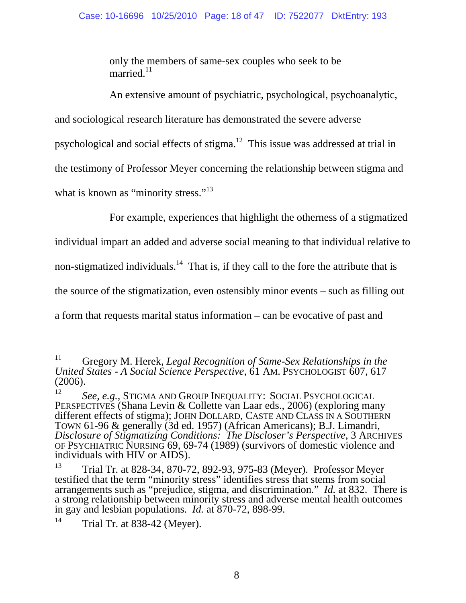only the members of same-sex couples who seek to be married.<sup>11</sup>

An extensive amount of psychiatric, psychological, psychoanalytic,

and sociological research literature has demonstrated the severe adverse

psychological and social effects of stigma.12 This issue was addressed at trial in

the testimony of Professor Meyer concerning the relationship between stigma and

what is known as "minority stress."<sup>13</sup>

For example, experiences that highlight the otherness of a stigmatized

individual impart an added and adverse social meaning to that individual relative to

non-stigmatized individuals.<sup>14</sup> That is, if they call to the fore the attribute that is

the source of the stigmatization, even ostensibly minor events – such as filling out

a form that requests marital status information – can be evocative of past and

<sup>11</sup> Gregory M. Herek, *Legal Recognition of Same-Sex Relationships in the United States - A Social Science Perspective,* 61 AM. PSYCHOLOGIST 607, 617 (2006).

<sup>12</sup> *See, e.g.*, STIGMA AND GROUP INEQUALITY: SOCIAL PSYCHOLOGICAL PERSPECTIVES (Shana Levin & Collette van Laar eds., 2006) (exploring many different effects of stigma); JOHN DOLLARD, CASTE AND CLASS IN A SOUTHERN TOWN 61-96 & generally (3d ed. 1957) (African Americans); B.J. Limandri, *Disclosure of Stigmatizing Conditions: The Discloser's Perspective*, 3 ARCHIVES OF PSYCHIATRIC NURSING 69, 69-74 (1989) (survivors of domestic violence and individuals with HIV or AIDS).

<sup>&</sup>lt;sup>13</sup> Trial Tr. at 828-34, 870-72, 892-93, 975-83 (Meyer). Professor Meyer testified that the term "minority stress" identifies stress that stems from social arrangements such as "prejudice, stigma, and discrimination." *Id.* at 832. There is a strong relationship between minority stress and adverse mental health outcomes in gay and lesbian populations. *Id.* at 870-72, 898-99.

 $14$  Trial Tr. at 838-42 (Meyer).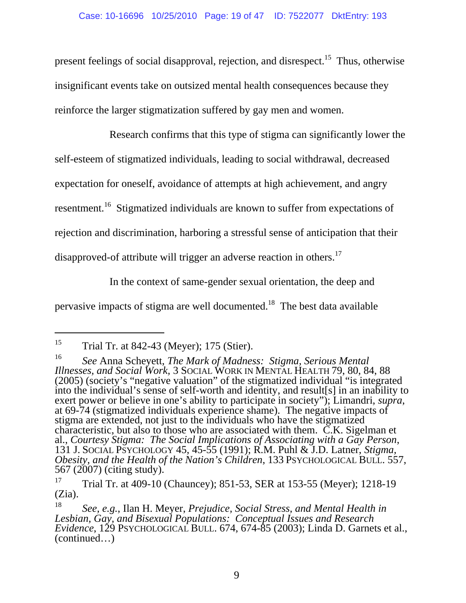present feelings of social disapproval, rejection, and disrespect.<sup>15</sup> Thus, otherwise insignificant events take on outsized mental health consequences because they reinforce the larger stigmatization suffered by gay men and women.

Research confirms that this type of stigma can significantly lower the self-esteem of stigmatized individuals, leading to social withdrawal, decreased expectation for oneself, avoidance of attempts at high achievement, and angry resentment.<sup>16</sup> Stigmatized individuals are known to suffer from expectations of rejection and discrimination, harboring a stressful sense of anticipation that their disapproved-of attribute will trigger an adverse reaction in others.<sup>17</sup>

In the context of same-gender sexual orientation, the deep and

pervasive impacts of stigma are well documented.18 The best data available

-

<sup>&</sup>lt;sup>15</sup> Trial Tr. at 842-43 (Meyer); 175 (Stier).

<sup>16</sup> *See* Anna Scheyett, *The Mark of Madness: Stigma, Serious Mental Illnesses, and Social Work,* 3 SOCIAL WORK IN MENTAL HEALTH 79, 80, 84, 88 (2005) (society's "negative valuation" of the stigmatized individual "is integrated into the individual's sense of self-worth and identity, and result[s] in an inability to exert power or believe in one's ability to participate in society''); Limandri, *supra*, at 69-74 (stigmatized individuals experience shame). The negative impacts of stigma are extended, not just to the individuals who have the stigmatized characteristic, but also to those who are associated with them.  $\check{C}$ .K. Sigelman et al., *Courtesy Stigma: The Social Implications of Associating with a Gay Person*, al., *Courtesy Stigma: The Social Implications of Associating with a Gay Person*, 131 J. SOCIAL PSYCHOLOGY 45, 45-55 (1991); R.M. Puhl & J.D. Latner, *Stigma, Obesity, and the Health of the Nation's Children*, 133 PSYCHOLOGICAL BULL. 557, 567 (2007) (citing study).

<sup>&</sup>lt;sup>17</sup> Trial Tr. at 409-10 (Chauncey); 851-53, SER at 153-55 (Meyer); 1218-19 (Zia).

<sup>18</sup> *See, e.g.*, Ilan H. Meyer, *Prejudice, Social Stress, and Mental Health in Lesbian, Gay, and Bisexual Populations: Conceptual Issues and Research Evidence*, 129 PSYCHOLOGICAL BULL. 674, 674-85 (2003); Linda D. Garnets et al., (continued…)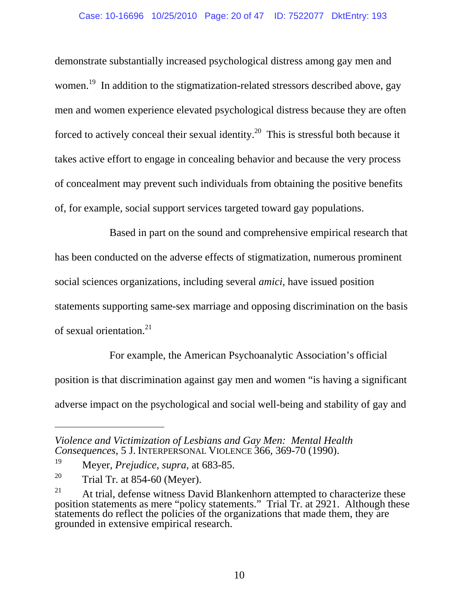#### Case: 10-16696 10/25/2010 Page: 20 of 47 ID: 7522077 DktEntry: 193

demonstrate substantially increased psychological distress among gay men and women.<sup>19</sup> In addition to the stigmatization-related stressors described above, gay men and women experience elevated psychological distress because they are often forced to actively conceal their sexual identity.<sup>20</sup> This is stressful both because it takes active effort to engage in concealing behavior and because the very process of concealment may prevent such individuals from obtaining the positive benefits of, for example, social support services targeted toward gay populations.

Based in part on the sound and comprehensive empirical research that has been conducted on the adverse effects of stigmatization, numerous prominent social sciences organizations, including several *amici*, have issued position statements supporting same-sex marriage and opposing discrimination on the basis of sexual orientation.21

For example, the American Psychoanalytic Association's official position is that discrimination against gay men and women "is having a significant adverse impact on the psychological and social well-being and stability of gay and

l

*Violence and Victimization of Lesbians and Gay Men: Mental Health Consequences*, 5 J. INTERPERSONAL VIOLENCE 366, 369-70 (1990).

<sup>19</sup> Meyer, *Prejudice*, *supra*, at 683-85.

<sup>&</sup>lt;sup>20</sup> Trial Tr. at  $854-60$  (Meyer).

 $21$  At trial, defense witness David Blankenhorn attempted to characterize these position statements as mere "policy statements." Trial Tr. at 2921. Although these statements do reflect the policies of the organizations that made them, they are grounded in extensive empirical research.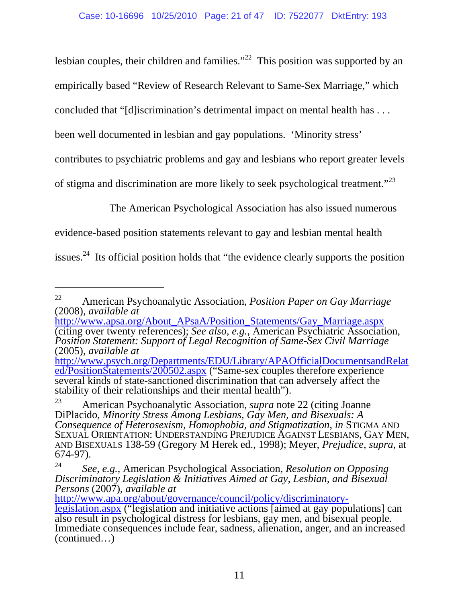lesbian couples, their children and families."<sup>22</sup> This position was supported by an empirically based "Review of Research Relevant to Same-Sex Marriage," which concluded that "[d]iscrimination's detrimental impact on mental health has . . . been well documented in lesbian and gay populations. 'Minority stress' contributes to psychiatric problems and gay and lesbians who report greater levels of stigma and discrimination are more likely to seek psychological treatment."<sup>23</sup>

The American Psychological Association has also issued numerous

evidence-based position statements relevant to gay and lesbian mental health

issues.<sup>24</sup> Its official position holds that "the evidence clearly supports the position

 $\overline{a}$ 

http://www.apa.org/about/governance/council/policy/discriminatory-

<sup>22</sup> American Psychoanalytic Association, *Position Paper on Gay Marriage* (2008), *available at* 

http://www.apsa.org/About\_APsaA/Position\_Statements/Gay\_Marriage.aspx (citing over twenty references); *See also, e.g.*, American Psychiatric Association, *Position Statement: Support of Legal Recognition of Same-Sex Civil Marriage* (2005), *available at*

http://www.psych.org/Departments/EDU/Library/APAOfficialDocumentsandRelat ed/PositionStatements/200502.aspx ("Same-sex couples therefore experience several kinds of state-sanctioned discrimination that can adversely affect the stability of their relationships and their mental health").

<sup>23</sup> American Psychoanalytic Association, *supra* note 22 (citing Joanne DiPlacido, *Minority Stress Among Lesbians, Gay Men, and Bisexuals: A Consequence of Heterosexism, Homophobia, and Stigmatization*, *in* STIGMA AND SEXUAL ORIENTATION: UNDERSTANDING PREJUDICE AGAINST LESBIANS, GAY MEN, AND BISEXUALS 138-59 (Gregory M Herek ed., 1998); Meyer, *Prejudice*, *supra*, at 674-97).

<sup>24</sup> *See, e.g.*, American Psychological Association, *Resolution on Opposing Discriminatory Legislation & Initiatives Aimed at Gay, Lesbian, and Bisexual Persons* (2007), *available at*

legislation.aspx ("legislation and initiative actions [aimed at gay populations] can also result in psychological distress for lesbians, gay men, and bisexual people. Immediate consequences include fear, sadness, alienation, anger, and an increased (continued…)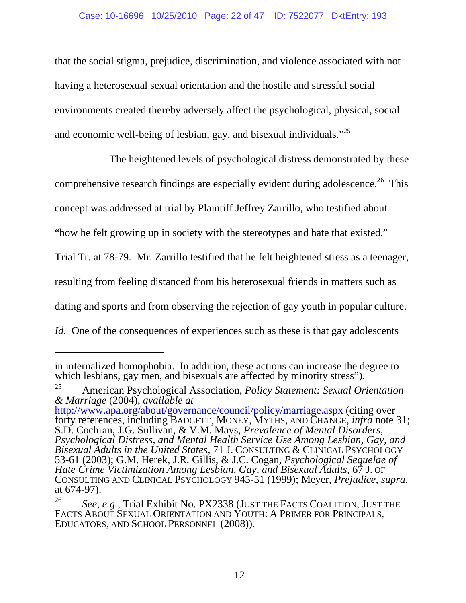#### Case: 10-16696 10/25/2010 Page: 22 of 47 ID: 7522077 DktEntry: 193

that the social stigma, prejudice, discrimination, and violence associated with not having a heterosexual sexual orientation and the hostile and stressful social environments created thereby adversely affect the psychological, physical, social and economic well-being of lesbian, gay, and bisexual individuals."<sup>25</sup>

The heightened levels of psychological distress demonstrated by these comprehensive research findings are especially evident during adolescence.<sup>26</sup> This concept was addressed at trial by Plaintiff Jeffrey Zarrillo, who testified about "how he felt growing up in society with the stereotypes and hate that existed." Trial Tr. at 78-79. Mr. Zarrillo testified that he felt heightened stress as a teenager, resulting from feeling distanced from his heterosexual friends in matters such as dating and sports and from observing the rejection of gay youth in popular culture. *Id.* One of the consequences of experiences such as these is that gay adolescents

-

http://www.apa.org/about/governance/council/policy/marriage.aspx (citing over forty references, including BADGETT¸ MONEY, MYTHS, AND CHANGE, *infra* note 31; S.D. Cochran, J.G. Sullivan, & V.M. Mays, *Prevalence of Mental Disorders,* 

in internalized homophobia. In addition, these actions can increase the degree to which lesbians, gay men, and bisexuals are affected by minority stress").

<sup>25</sup> American Psychological Association, *Policy Statement: Sexual Orientation & Marriage* (2004), *available at*

*Psychological Distress, and Mental Health Service Use Among Lesbian, Gay, and Bisexual Adults in the United States*, 71 J. CONSULTING & CLINICAL PSYCHOLOGY 53-61 (2003); G.M. Herek, J.R. Gillis, & J.C. Cogan, *Psychological Sequelae of Hate Crime Victimization Among Lesbian, Gay, and Bisexual Adults*, 67 J. OF CONSULTING AND CLINICAL PSYCHOLOGY 945-51 (1999); Meyer, *Prejudice*, *supra*, at 674-97).

<sup>26</sup> *See, e.g.*, Trial Exhibit No. PX2338 (JUST THE FACTS COALITION, JUST THE FACTS ABOUT SEXUAL ORIENTATION AND YOUTH: A PRIMER FOR PRINCIPALS, EDUCATORS, AND SCHOOL PERSONNEL (2008)).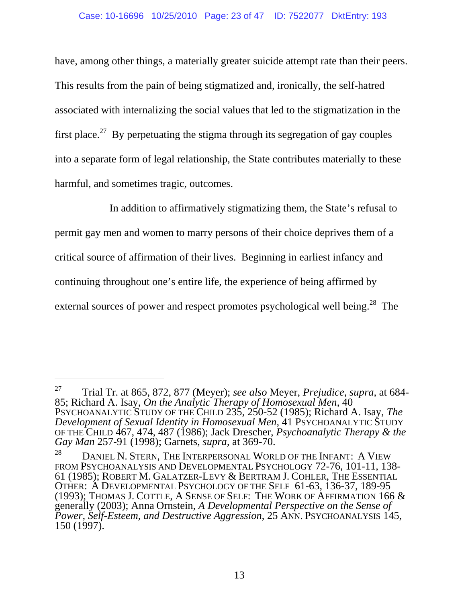#### Case: 10-16696 10/25/2010 Page: 23 of 47 ID: 7522077 DktEntry: 193

have, among other things, a materially greater suicide attempt rate than their peers. This results from the pain of being stigmatized and, ironically, the self-hatred associated with internalizing the social values that led to the stigmatization in the first place.<sup>27</sup> By perpetuating the stigma through its segregation of gay couples into a separate form of legal relationship, the State contributes materially to these harmful, and sometimes tragic, outcomes.

In addition to affirmatively stigmatizing them, the State's refusal to permit gay men and women to marry persons of their choice deprives them of a critical source of affirmation of their lives. Beginning in earliest infancy and continuing throughout one's entire life, the experience of being affirmed by external sources of power and respect promotes psychological well being.<sup>28</sup> The

<sup>27</sup> Trial Tr. at 865, 872, 877 (Meyer); *see also* Meyer, *Prejudice*, *supra*, at 684- 85; Richard A. Isay, *On the Analytic Therapy of Homosexual Men*, 40 PSYCHOANALYTIC STUDY OF THE CHILD 235, 250-52 (1985); Richard A. Isay, *The Development of Sexual Identity in Homosexual Men, 41 PSYCHOANALYTIC STUDY* OF THE CHILD 467, 474, 487 (1986); Jack Drescher, *Psychoanalytic Therapy & the Gay Man* 257-91 (1998); Garnets, *supra*, at 369-70.

<sup>&</sup>lt;sup>28</sup> DANIEL N. STERN, THE INTERPERSONAL WORLD OF THE INFANT: A VIEW FROM PSYCHOANALYSIS AND DEVELOPMENTAL PSYCHOLOGY 72-76, 101-11, 138- 61 (1985); ROBERT M. GALATZER-LEVY & BERTRAM J. COHLER, THE ESSENTIAL OTHER: A DEVELOPMENTAL PSYCHOLOGY OF THE SELF 61-63, 136-37, 189-95 (1993); THOMAS J. COTTLE, A SENSE OF SELF: THE WORK OF AFFIRMATION 166 & generally (2003); Anna Ornstein, *A Developmental Perspective on the Sense of Power, Self-Esteem, and Destructive Aggression*, 25 ANN. PSYCHOANALYSIS 145, 150 (1997).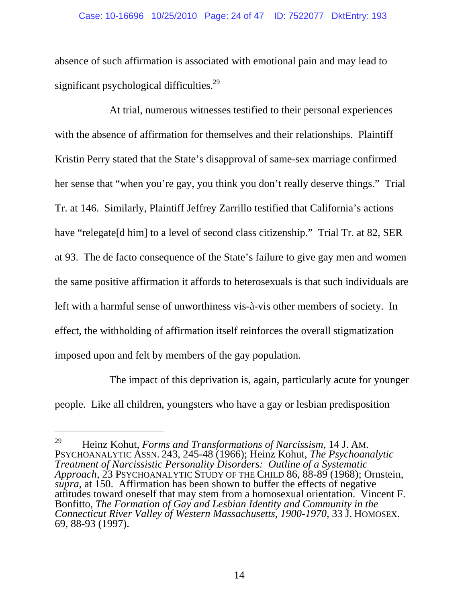absence of such affirmation is associated with emotional pain and may lead to significant psychological difficulties.<sup>29</sup>

At trial, numerous witnesses testified to their personal experiences with the absence of affirmation for themselves and their relationships. Plaintiff Kristin Perry stated that the State's disapproval of same-sex marriage confirmed her sense that "when you're gay, you think you don't really deserve things." Trial Tr. at 146. Similarly, Plaintiff Jeffrey Zarrillo testified that California's actions have "relegate[d him] to a level of second class citizenship." Trial Tr. at 82, SER at 93. The de facto consequence of the State's failure to give gay men and women the same positive affirmation it affords to heterosexuals is that such individuals are left with a harmful sense of unworthiness vis-à-vis other members of society. In effect, the withholding of affirmation itself reinforces the overall stigmatization imposed upon and felt by members of the gay population.

The impact of this deprivation is, again, particularly acute for younger people. Like all children, youngsters who have a gay or lesbian predisposition

-

<sup>29</sup> Heinz Kohut, *Forms and Transformations of Narcissism*, 14 J. AM. PSYCHOANALYTIC ASSN. 243, 245-48 (1966); Heinz Kohut, *The Psychoanalytic Treatment of Narcissistic Personality Disorders: Outline of a Systematic*  Approach, 23 PSYCHOANALYTIC STUDY OF THE CHILD 86, 88-89 (1968); Ornstein, *supra*, at 150. Affirmation has been shown to buffer the effects of negative attitudes toward oneself that may stem from a homosexual orientation. Vincent F. Bonfitto, *The Formation of Gay and Lesbian Identity and Community in the Connecticut River Valley of Western Massachusetts, 1900-1970*, 33 J. HOMOSEX. 69, 88-93 (1997).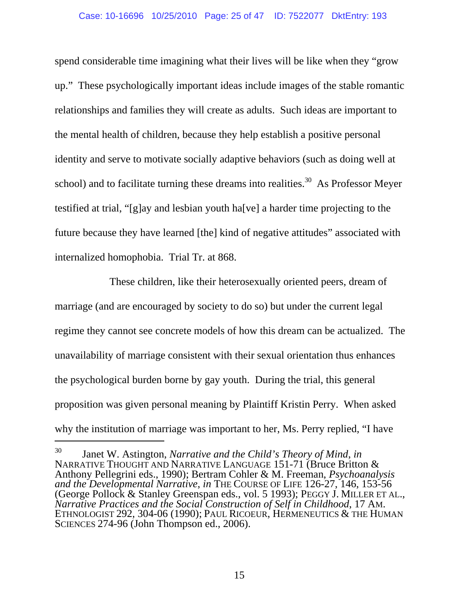spend considerable time imagining what their lives will be like when they "grow up." These psychologically important ideas include images of the stable romantic relationships and families they will create as adults. Such ideas are important to the mental health of children, because they help establish a positive personal identity and serve to motivate socially adaptive behaviors (such as doing well at school) and to facilitate turning these dreams into realities.<sup>30</sup> As Professor Meyer testified at trial, "[g]ay and lesbian youth ha[ve] a harder time projecting to the future because they have learned [the] kind of negative attitudes" associated with internalized homophobia. Trial Tr. at 868.

These children, like their heterosexually oriented peers, dream of marriage (and are encouraged by society to do so) but under the current legal regime they cannot see concrete models of how this dream can be actualized. The unavailability of marriage consistent with their sexual orientation thus enhances the psychological burden borne by gay youth. During the trial, this general proposition was given personal meaning by Plaintiff Kristin Perry. When asked why the institution of marriage was important to her, Ms. Perry replied, "I have

l

<sup>30</sup> Janet W. Astington, *Narrative and the Child's Theory of Mind*, *in*  NARRATIVE THOUGHT AND NARRATIVE LANGUAGE 151-71 (Bruce Britton & Anthony Pellegrini eds., 1990); Bertram Cohler & M. Freeman, *Psychoanalysis and the Developmental Narrative, in THE COURSE OF LIFE 126-27, 146, 153-56* (George Pollock & Stanley Greenspan eds., vol. 5 1993); PEGGY J. MILLER ET AL., Narrative Practices and the Social Construction of Self in Childhood, 17 AM.<br>ETHNOLOGIST 292, 304-06 (1990); PAUL RICOEUR, HERMENEUTICS & THE HUMAN SCIENCES 274-96 (John Thompson ed., 2006).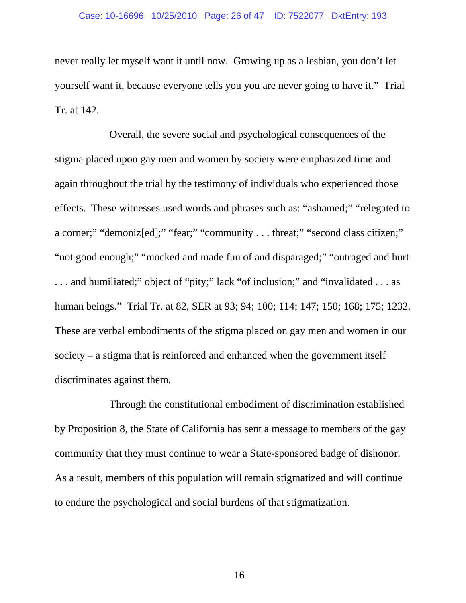#### Case: 10-16696 10/25/2010 Page: 26 of 47 ID: 7522077 DktEntry: 193

never really let myself want it until now. Growing up as a lesbian, you don't let yourself want it, because everyone tells you you are never going to have it." Trial Tr. at 142.

Overall, the severe social and psychological consequences of the stigma placed upon gay men and women by society were emphasized time and again throughout the trial by the testimony of individuals who experienced those effects. These witnesses used words and phrases such as: "ashamed;" "relegated to a corner;" "demoniz[ed];" "fear;" "community . . . threat;" "second class citizen;" "not good enough;" "mocked and made fun of and disparaged;" "outraged and hurt . . . and humiliated;" object of "pity;" lack "of inclusion;" and "invalidated . . . as human beings." Trial Tr. at 82, SER at 93; 94; 100; 114; 147; 150; 168; 175; 1232. These are verbal embodiments of the stigma placed on gay men and women in our society – a stigma that is reinforced and enhanced when the government itself discriminates against them.

Through the constitutional embodiment of discrimination established by Proposition 8, the State of California has sent a message to members of the gay community that they must continue to wear a State-sponsored badge of dishonor. As a result, members of this population will remain stigmatized and will continue to endure the psychological and social burdens of that stigmatization.

16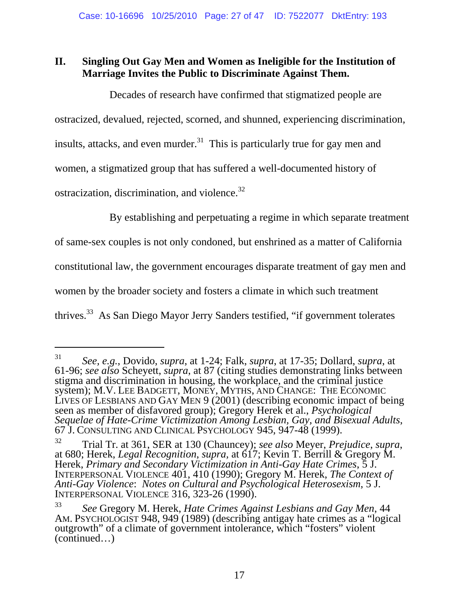# **II. Singling Out Gay Men and Women as Ineligible for the Institution of Marriage Invites the Public to Discriminate Against Them.**

Decades of research have confirmed that stigmatized people are

ostracized, devalued, rejected, scorned, and shunned, experiencing discrimination,

insults, attacks, and even murder.<sup>31</sup> This is particularly true for gay men and

women, a stigmatized group that has suffered a well-documented history of

ostracization, discrimination, and violence.<sup>32</sup>

l

By establishing and perpetuating a regime in which separate treatment

of same-sex couples is not only condoned, but enshrined as a matter of California

constitutional law, the government encourages disparate treatment of gay men and

women by the broader society and fosters a climate in which such treatment

thrives.<sup>33</sup> As San Diego Mayor Jerry Sanders testified, "if government tolerates

<sup>31</sup> *See, e.g.*, Dovido, *supra*, at 1-24; Falk, *supra*, at 17-35; Dollard, *supra*, at 61-96; *see also* Scheyett, *supra*, at 87 (citing studies demonstrating links between stigma and discrimination in housing, the workplace, and the criminal justice system); M.V. LEE BADGETT, MONEY, MYTHS, AND CHANGE: THE ECONOMIC LIVES OF LESBIANS AND GAY MEN 9 (2001) (describing economic impact of being seen as member of disfavored group); Gregory Herek et al., *Psychological Sequelae of Hate-Crime Victimization Among Lesbian, Gay, and Bisexual Adults*, 67 J. CONSULTING AND CLINICAL PSYCHOLOGY 945, 947-48 (1999).

<sup>32</sup> Trial Tr. at 361, SER at 130 (Chauncey); *see also* Meyer, *Prejudice*, *supra*, at 680; Herek, *Legal Recognition*, *supra,* at 617; Kevin T. Berrill & Gregory M. Herek, *Primary and Secondary Victimization in Anti-Gay Hate Crimes*, 5 J. INTERPERSONAL VIOLENCE 401, 410 (1990); Gregory M. Herek, *The Context of Anti-Gay Violence*: *Notes on Cultural and Psychological Heterosexism*, 5 J. INTERPERSONAL VIOLENCE 316, 323-26 (1990).

<sup>33</sup> *See* Gregory M. Herek, *Hate Crimes Against Lesbians and Gay Men*, 44 AM. PSYCHOLOGIST 948, 949 (1989) (describing antigay hate crimes as a "logical outgrowth" of a climate of government intolerance, which "fosters" violent (continued…)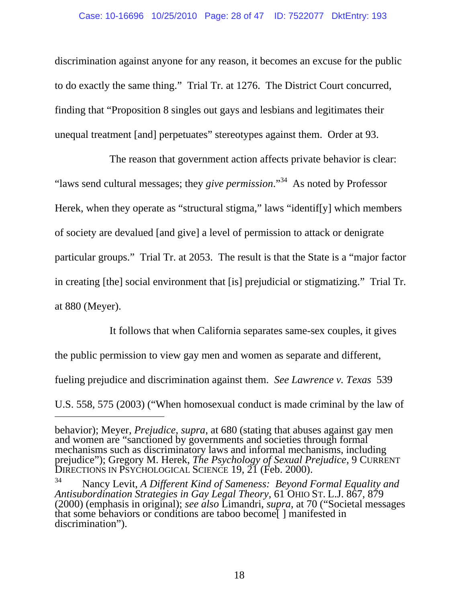#### Case: 10-16696 10/25/2010 Page: 28 of 47 ID: 7522077 DktEntry: 193

discrimination against anyone for any reason, it becomes an excuse for the public to do exactly the same thing." Trial Tr. at 1276. The District Court concurred, finding that "Proposition 8 singles out gays and lesbians and legitimates their unequal treatment [and] perpetuates" stereotypes against them. Order at 93.

The reason that government action affects private behavior is clear: "laws send cultural messages; they *give permission*."34 As noted by Professor Herek, when they operate as "structural stigma," laws "identif[y] which members of society are devalued [and give] a level of permission to attack or denigrate particular groups." Trial Tr. at 2053. The result is that the State is a "major factor in creating [the] social environment that [is] prejudicial or stigmatizing." Trial Tr. at 880 (Meyer).

It follows that when California separates same-sex couples, it gives the public permission to view gay men and women as separate and different, fueling prejudice and discrimination against them. *See Lawrence v. Texas* 539 U.S. 558, 575 (2003) ("When homosexual conduct is made criminal by the law of

-

behavior); Meyer, *Prejudice*, *supra*, at 680 (stating that abuses against gay men and women are "sanctioned by governments and societies through formal mechanisms such as discriminatory laws and informal mechanisms, including prejudice"); Gregory M. Herek, *The Psychology of Sexual Prejudice*, 9 CURRENT DIRECTIONS IN PSYCHOLOGICAL SCIENCE 19, 21 (Feb. 2000).

<sup>34</sup> Nancy Levit, *A Different Kind of Sameness: Beyond Formal Equality and Antisubordination Strategies in Gay Legal Theory*, 61 OHIO ST. L.J. 867, 879 (2000) (emphasis in original); *see also* Limandri, *supra*, at 70 ("Societal messages that some behaviors or conditions are taboo become[ ] manifested in discrimination").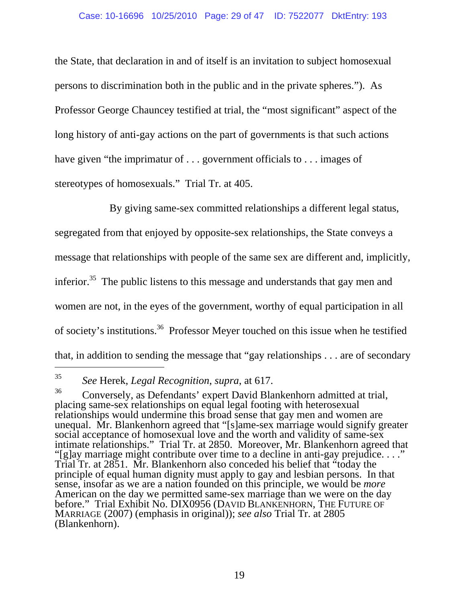the State, that declaration in and of itself is an invitation to subject homosexual persons to discrimination both in the public and in the private spheres."). As Professor George Chauncey testified at trial, the "most significant" aspect of the long history of anti-gay actions on the part of governments is that such actions have given "the imprimatur of . . . government officials to . . . images of stereotypes of homosexuals." Trial Tr. at 405.

By giving same-sex committed relationships a different legal status,

segregated from that enjoyed by opposite-sex relationships, the State conveys a

message that relationships with people of the same sex are different and, implicitly,

inferior.<sup>35</sup> The public listens to this message and understands that gay men and

women are not, in the eyes of the government, worthy of equal participation in all

of society's institutions.<sup>36</sup> Professor Meyer touched on this issue when he testified

that, in addition to sending the message that "gay relationships . . . are of secondary

<sup>35</sup> *See* Herek, *Legal Recognition*, *supra*, at 617.

<sup>36</sup> Conversely, as Defendants' expert David Blankenhorn admitted at trial, placing same-sex relationships on equal legal footing with heterosexual relationships would undermine this broad sense that gay men and women are unequal. Mr. Blankenhorn agreed that "[s]ame-sex marriage would signify greater social acceptance of homosexual love and the worth and validity of same-sex intimate relationships." Trial Tr. at 2850. Moreover, Mr. Blankenhorn agreed that "[g]ay marriage might contribute over time to a decline in anti-gay prejudice. . . ." Trial Tr. at 2851. Mr. Blankenhorn also conceded his belief that "today the principle of equal human dignity must apply to gay and lesbian persons. In that sense, insofar as we are a nation founded on this principle, we would be *more* American on the day we permitted same-sex marriage than we were on the day before." Trial Exhibit No. DIX0956 (DAVID BLANKENHORN, THE FUTURE OF MARRIAGE (2007) (emphasis in original)); *see also* Trial Tr. at 2805 (Blankenhorn).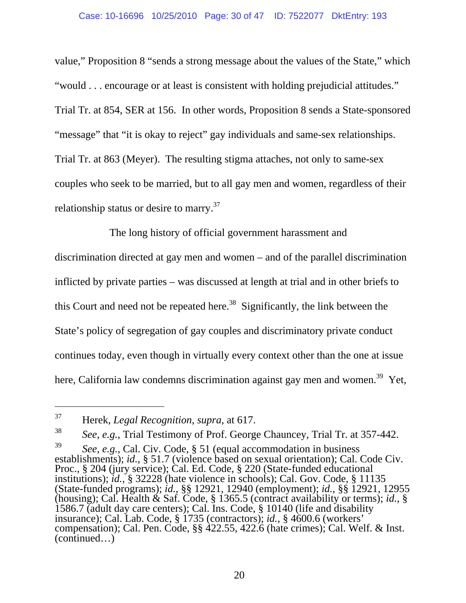#### Case: 10-16696 10/25/2010 Page: 30 of 47 ID: 7522077 DktEntry: 193

value," Proposition 8 "sends a strong message about the values of the State," which "would . . . encourage or at least is consistent with holding prejudicial attitudes." Trial Tr. at 854, SER at 156. In other words, Proposition 8 sends a State-sponsored "message" that "it is okay to reject" gay individuals and same-sex relationships. Trial Tr. at 863 (Meyer). The resulting stigma attaches, not only to same-sex couples who seek to be married, but to all gay men and women, regardless of their relationship status or desire to marry.<sup>37</sup>

The long history of official government harassment and discrimination directed at gay men and women – and of the parallel discrimination inflicted by private parties – was discussed at length at trial and in other briefs to this Court and need not be repeated here.<sup>38</sup> Significantly, the link between the State's policy of segregation of gay couples and discriminatory private conduct continues today, even though in virtually every context other than the one at issue here, California law condemns discrimination against gay men and women.<sup>39</sup> Yet,

<sup>37</sup> Herek, *Legal Recognition*, *supra*, at 617.

<sup>38</sup> *See, e.g.*, Trial Testimony of Prof. George Chauncey, Trial Tr. at 357-442.

<sup>39</sup> *See, e.g.*, Cal. Civ. Code, § 51 (equal accommodation in business establishments); *id.*, § 51.7 (violence based on sexual orientation); Cal. Code Civ. Proc., § 204 (jury service); Cal. Ed. Code, § 220 (State-funded educational institutions); *id.*, § 32228 (hate violence in schools); Cal. Gov. Code, § 11135 (State-funded programs); *id.*, §§ 12921, 12940 (employment); *id.*, §§ 12921, 12955 (housing); Cal. Health & Saf. Code, § 1365.5 (contract availability or terms); *id.*, § 1586.7 (adult day care centers); Cal. Ins. Code, § 10140 (life and disability insurance); Cal. Lab. Code, § 1735 (contractors); *id.*, § 4600.6 (workers' compensation); Cal. Pen. Code, §§ 422.55, 422.6 (hate crimes); Cal. Welf. & Inst. (continued…)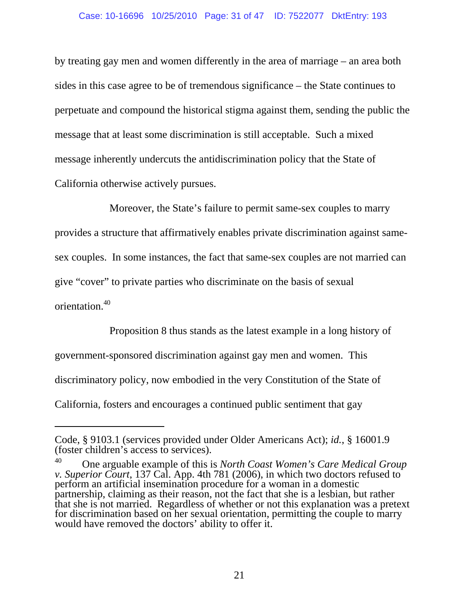#### Case: 10-16696 10/25/2010 Page: 31 of 47 ID: 7522077 DktEntry: 193

by treating gay men and women differently in the area of marriage – an area both sides in this case agree to be of tremendous significance – the State continues to perpetuate and compound the historical stigma against them, sending the public the message that at least some discrimination is still acceptable. Such a mixed message inherently undercuts the antidiscrimination policy that the State of California otherwise actively pursues.

Moreover, the State's failure to permit same-sex couples to marry provides a structure that affirmatively enables private discrimination against samesex couples. In some instances, the fact that same-sex couples are not married can give "cover" to private parties who discriminate on the basis of sexual orientation.40

Proposition 8 thus stands as the latest example in a long history of government-sponsored discrimination against gay men and women. This discriminatory policy, now embodied in the very Constitution of the State of California, fosters and encourages a continued public sentiment that gay

Code, § 9103.1 (services provided under Older Americans Act); *id.*, § 16001.9 (foster children's access to services).

<sup>40</sup> One arguable example of this is *North Coast Women's Care Medical Group v. Superior Court*, 137 Cal. App. 4th 781 (2006), in which two doctors refused to perform an artificial insemination procedure for a woman in a domestic partnership, claiming as their reason, not the fact that she is a lesbian, but rather that she is not married. Regardless of whether or not this explanation was a pretext for discrimination based on her sexual orientation, permitting the couple to marry would have removed the doctors' ability to offer it.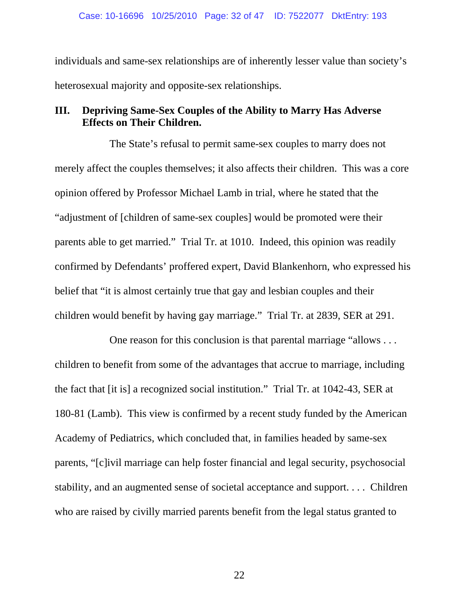individuals and same-sex relationships are of inherently lesser value than society's heterosexual majority and opposite-sex relationships.

# **III. Depriving Same-Sex Couples of the Ability to Marry Has Adverse Effects on Their Children.**

The State's refusal to permit same-sex couples to marry does not merely affect the couples themselves; it also affects their children. This was a core opinion offered by Professor Michael Lamb in trial, where he stated that the "adjustment of [children of same-sex couples] would be promoted were their parents able to get married." Trial Tr. at 1010. Indeed, this opinion was readily confirmed by Defendants' proffered expert, David Blankenhorn, who expressed his belief that "it is almost certainly true that gay and lesbian couples and their children would benefit by having gay marriage." Trial Tr. at 2839, SER at 291.

One reason for this conclusion is that parental marriage "allows . . . children to benefit from some of the advantages that accrue to marriage, including the fact that [it is] a recognized social institution." Trial Tr. at 1042-43, SER at 180-81 (Lamb). This view is confirmed by a recent study funded by the American Academy of Pediatrics, which concluded that, in families headed by same-sex parents, "[c]ivil marriage can help foster financial and legal security, psychosocial stability, and an augmented sense of societal acceptance and support. . . . Children who are raised by civilly married parents benefit from the legal status granted to

22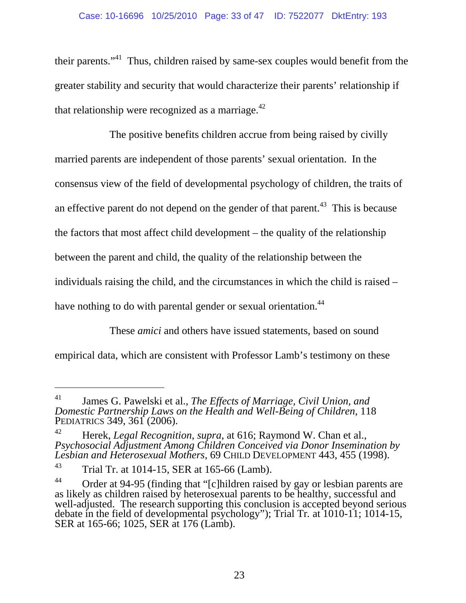their parents."41 Thus, children raised by same-sex couples would benefit from the greater stability and security that would characterize their parents' relationship if that relationship were recognized as a marriage. $^{42}$ 

The positive benefits children accrue from being raised by civilly married parents are independent of those parents' sexual orientation. In the consensus view of the field of developmental psychology of children, the traits of an effective parent do not depend on the gender of that parent.<sup>43</sup> This is because the factors that most affect child development – the quality of the relationship between the parent and child, the quality of the relationship between the individuals raising the child, and the circumstances in which the child is raised – have nothing to do with parental gender or sexual orientation.<sup>44</sup>

These *amici* and others have issued statements, based on sound

empirical data, which are consistent with Professor Lamb's testimony on these

<sup>41</sup> James G. Pawelski et al., *The Effects of Marriage, Civil Union, and Domestic Partnership Laws on the Health and Well-Being of Children*, 118 PEDIATRICS 349, 361 (2006).

<sup>42</sup> Herek, *Legal Recognition*, *supra*, at 616; Raymond W. Chan et al., *Psychosocial Adjustment Among Children Conceived via Donor Insemination by Lesbian and Heterosexual Mothers*, 69 CHILD DEVELOPMENT 443, 455 (1998).

 $43$  Trial Tr. at 1014-15, SER at 165-66 (Lamb).

<sup>&</sup>lt;sup>44</sup> Order at 94-95 (finding that "[c]hildren raised by gay or lesbian parents are as likely as children raised by heterosexual parents to be healthy, successful and well-adjusted. The research supporting this conclusion is accepted beyond serious debate in the field of developmental psychology"); Trial Tr*.* at 1010-11; 1014-15, SER at 165-66; 1025, SER at 176 (Lamb).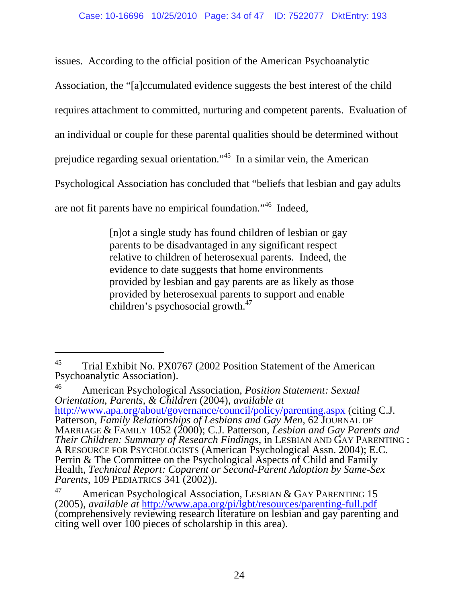issues. According to the official position of the American Psychoanalytic

Association, the "[a]ccumulated evidence suggests the best interest of the child

requires attachment to committed, nurturing and competent parents. Evaluation of

an individual or couple for these parental qualities should be determined without

prejudice regarding sexual orientation."45 In a similar vein, the American

Psychological Association has concluded that "beliefs that lesbian and gay adults

are not fit parents have no empirical foundation."46 Indeed,

 $\overline{a}$ 

[n]ot a single study has found children of lesbian or gay parents to be disadvantaged in any significant respect relative to children of heterosexual parents. Indeed, the evidence to date suggests that home environments provided by lesbian and gay parents are as likely as those provided by heterosexual parents to support and enable children's psychosocial growth. $47$ 

46 American Psychological Association, *Position Statement: Sexual Orientation, Parents, & Children* (2004), *available at* http://www.apa.org/about/governance/council/policy/parenting.aspx (citing C.J. Patterson, *Family Relationships of Lesbians and Gay Men*, 62 JOURNAL OF MARRIAGE & FAMILY 1052 (2000); C.J. Patterson, *Lesbian and Gay Parents and Their Children: Summary of Research Findings*, in LESBIAN AND GAY PARENTING : A RESOURCE FOR PSYCHOLOGISTS (American Psychological Assn. 2004); E.C. Perrin & The Committee on the Psychological Aspects of Child and Family Health, *Technical Report: Coparent or Second-Parent Adoption by Same-Sex Parents*, 109 PEDIATRICS 341 (2002)).

<sup>&</sup>lt;sup>45</sup> Trial Exhibit No. PX0767 (2002 Position Statement of the American Psychoanalytic Association).

<sup>&</sup>lt;sup>47</sup> American Psychological Association, LESBIAN & GAY PARENTING 15 (2005), *available at* http://www.apa.org/pi/lgbt/resources/parenting-full.pdf (comprehensively reviewing research literature on lesbian and gay parenting and citing well over 100 pieces of scholarship in this area).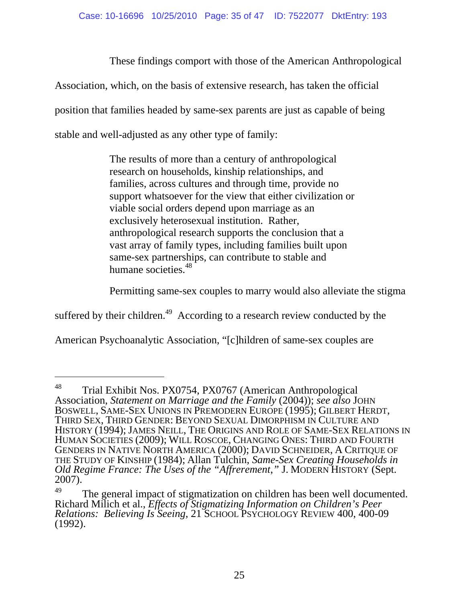These findings comport with those of the American Anthropological

Association, which, on the basis of extensive research, has taken the official

position that families headed by same-sex parents are just as capable of being

stable and well-adjusted as any other type of family:

l

The results of more than a century of anthropological research on households, kinship relationships, and families, across cultures and through time, provide no support whatsoever for the view that either civilization or viable social orders depend upon marriage as an exclusively heterosexual institution. Rather, anthropological research supports the conclusion that a vast array of family types, including families built upon same-sex partnerships, can contribute to stable and humane societies.<sup>48</sup>

Permitting same-sex couples to marry would also alleviate the stigma

suffered by their children.<sup>49</sup> According to a research review conducted by the

American Psychoanalytic Association, "[c]hildren of same-sex couples are

<sup>&</sup>lt;sup>48</sup> Trial Exhibit Nos. PX0754, PX0767 (American Anthropological Association, *Statement on Marriage and the Family* (2004)); *see also* JOHN THIRD SEX, THIRD GENDER: BEYOND SEXUAL DIMORPHISM IN CULTURE AND HISTORY (1994); JAMES NEILL, THE ORIGINS AND ROLE OF SAME-SEX RELATIONS IN HUMAN SOCIETIES (2009); WILL ROSCOE, CHANGING ONES: THIRD AND FOURTH GENDERS IN NATIVE NORTH AMERICA (2000); DAVID SCHNEIDER, A CRITIQUE OF THE STUDY OF KINSHIP (1984); Allan Tulchin, *Same-Sex Creating Households in Old Regime France: The Uses of the "Affrerement*,*"* J. MODERN HISTORY (Sept. 2007).

 $49$  The general impact of stigmatization on children has been well documented. Richard Milich et al., *Effects of Stigmatizing Information on Children's Peer Relations: Believing Is Seeing*, 21 SCHOOL PSYCHOLOGY REVIEW 400, 400-09 (1992).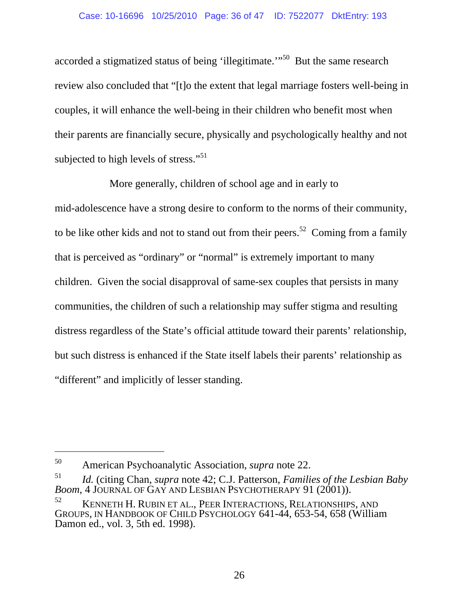accorded a stigmatized status of being 'illegitimate.'"50 But the same research review also concluded that "[t]o the extent that legal marriage fosters well-being in couples, it will enhance the well-being in their children who benefit most when their parents are financially secure, physically and psychologically healthy and not subjected to high levels of stress."<sup>51</sup>

More generally, children of school age and in early to mid-adolescence have a strong desire to conform to the norms of their community, to be like other kids and not to stand out from their peers.<sup>52</sup> Coming from a family that is perceived as "ordinary" or "normal" is extremely important to many children. Given the social disapproval of same-sex couples that persists in many communities, the children of such a relationship may suffer stigma and resulting distress regardless of the State's official attitude toward their parents' relationship, but such distress is enhanced if the State itself labels their parents' relationship as "different" and implicitly of lesser standing.

-

<sup>50</sup> American Psychoanalytic Association, *supra* note 22.

<sup>51</sup> *Id.* (citing Chan, *supra* note 42; C.J. Patterson, *Families of the Lesbian Baby Boom*, 4 JOURNAL OF GAY AND LESBIAN PSYCHOTHERAPY 91 (2001)).

 $^{52}$  KENNETH H. RUBIN ET AL., PEER INTERACTIONS, RELATIONSHIPS, AND GROUPS, IN HANDBOOK OF CHILD PSYCHOLOGY 641-44, 653-54, 658 (William Damon ed., vol. 3, 5th ed. 1998).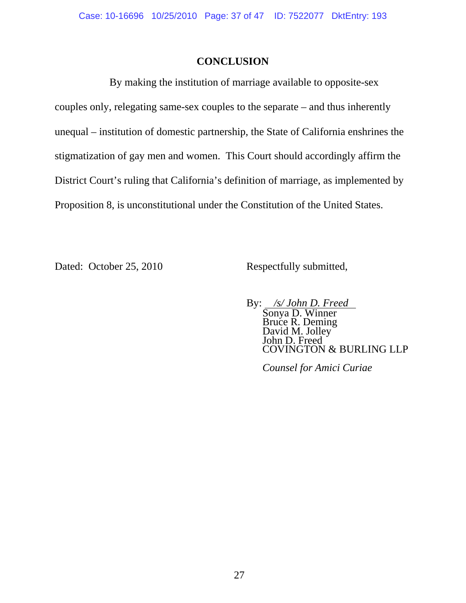# **CONCLUSION**

By making the institution of marriage available to opposite-sex couples only, relegating same-sex couples to the separate – and thus inherently unequal – institution of domestic partnership, the State of California enshrines the stigmatization of gay men and women. This Court should accordingly affirm the District Court's ruling that California's definition of marriage, as implemented by Proposition 8, is unconstitutional under the Constitution of the United States.

Dated: October 25, 2010 Respectfully submitted,

By: */s/ John D. Freed*<br>Sonya D. Winner<br>Bruce R. Deming David M. Jolley John D. Freed COVINGTON & BURLING LLP

*Counsel for Amici Curiae*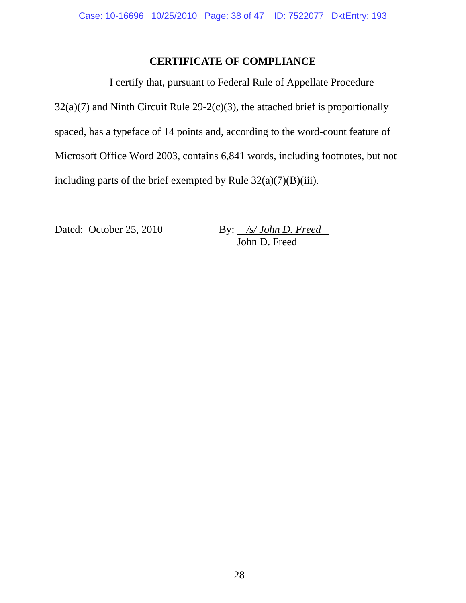# **CERTIFICATE OF COMPLIANCE**

I certify that, pursuant to Federal Rule of Appellate Procedure  $32(a)(7)$  and Ninth Circuit Rule  $29-2(c)(3)$ , the attached brief is proportionally spaced, has a typeface of 14 points and, according to the word-count feature of Microsoft Office Word 2003, contains 6,841 words, including footnotes, but not including parts of the brief exempted by Rule  $32(a)(7)(B)(iii)$ .

Dated: October 25, 2010 By: /s/ John D. Freed John D. Freed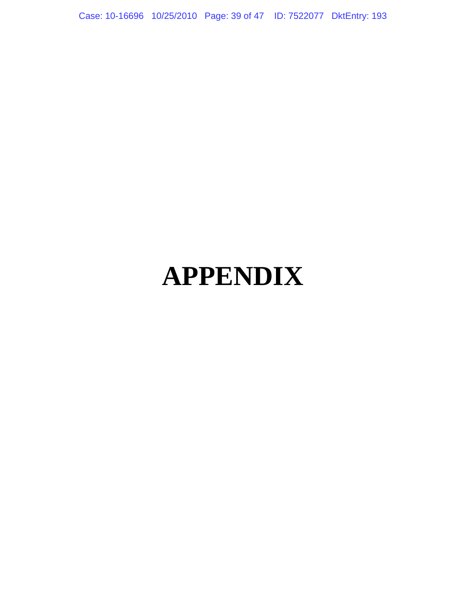Case: 10-16696 10/25/2010 Page: 39 of 47 ID: 7522077 DktEntry: 193

# **APPENDIX**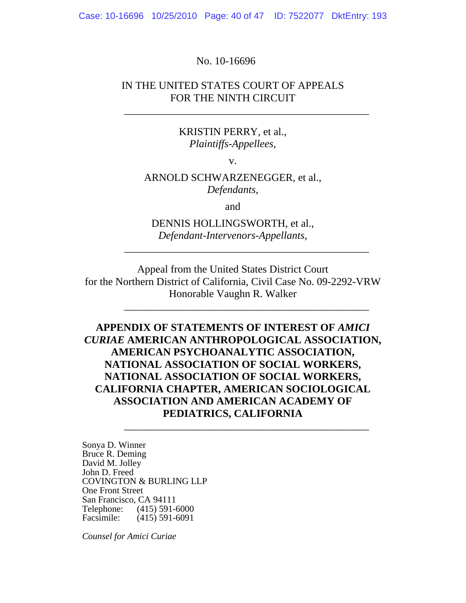Case: 10-16696 10/25/2010 Page: 40 of 47 ID: 7522077 DktEntry: 193

#### No. 10-16696

## IN THE UNITED STATES COURT OF APPEALS FOR THE NINTH CIRCUIT

\_\_\_\_\_\_\_\_\_\_\_\_\_\_\_\_\_\_\_\_\_\_\_\_\_\_\_\_\_\_\_\_\_\_\_\_\_\_\_\_\_\_\_\_\_\_

#### KRISTIN PERRY, et al., *Plaintiffs-Appellees*,

v.

## ARNOLD SCHWARZENEGGER, et al., *Defendants*,

and

# DENNIS HOLLINGSWORTH, et al., *Defendant-Intervenors-Appellants*,

\_\_\_\_\_\_\_\_\_\_\_\_\_\_\_\_\_\_\_\_\_\_\_\_\_\_\_\_\_\_\_\_\_\_\_\_\_\_\_\_\_\_\_\_\_\_

\_\_\_\_\_\_\_\_\_\_\_\_\_\_\_\_\_\_\_\_\_\_\_\_\_\_\_\_\_\_\_\_\_\_\_\_\_\_\_\_\_\_\_\_\_\_

\_\_\_\_\_\_\_\_\_\_\_\_\_\_\_\_\_\_\_\_\_\_\_\_\_\_\_\_\_\_\_\_\_\_\_\_\_\_\_\_\_\_\_\_\_\_

Appeal from the United States District Court for the Northern District of California, Civil Case No. 09-2292-VRW Honorable Vaughn R. Walker

**APPENDIX OF STATEMENTS OF INTEREST OF** *AMICI CURIAE* **AMERICAN ANTHROPOLOGICAL ASSOCIATION, AMERICAN PSYCHOANALYTIC ASSOCIATION, NATIONAL ASSOCIATION OF SOCIAL WORKERS, NATIONAL ASSOCIATION OF SOCIAL WORKERS, CALIFORNIA CHAPTER, AMERICAN SOCIOLOGICAL ASSOCIATION AND AMERICAN ACADEMY OF PEDIATRICS, CALIFORNIA** 

Sonya D. Winner Bruce R. Deming David M. Jolley John D. Freed COVINGTON & BURLING LLP One Front Street San Francisco, CA 94111<br>Telephone: (415) 591-0 Telephone: (415) 591-6000<br>Facsimile: (415) 591-6091  $(415)$  591-6091

*Counsel for Amici Curiae*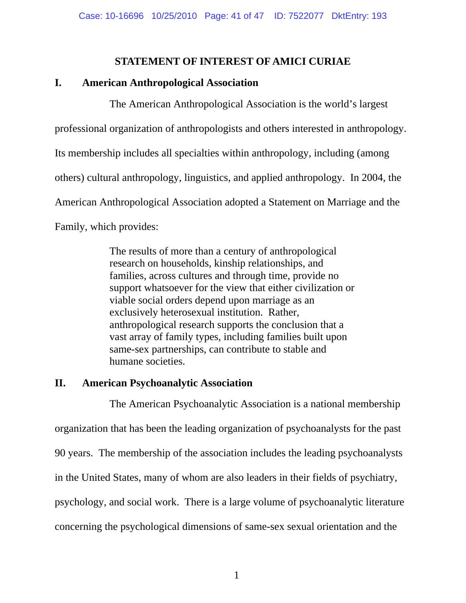## **STATEMENT OF INTEREST OF AMICI CURIAE**

## **I. American Anthropological Association**

The American Anthropological Association is the world's largest

professional organization of anthropologists and others interested in anthropology.

Its membership includes all specialties within anthropology, including (among

others) cultural anthropology, linguistics, and applied anthropology. In 2004, the

American Anthropological Association adopted a Statement on Marriage and the

Family, which provides:

The results of more than a century of anthropological research on households, kinship relationships, and families, across cultures and through time, provide no support whatsoever for the view that either civilization or viable social orders depend upon marriage as an exclusively heterosexual institution. Rather, anthropological research supports the conclusion that a vast array of family types, including families built upon same-sex partnerships, can contribute to stable and humane societies.

# **II. American Psychoanalytic Association**

The American Psychoanalytic Association is a national membership organization that has been the leading organization of psychoanalysts for the past 90 years. The membership of the association includes the leading psychoanalysts in the United States, many of whom are also leaders in their fields of psychiatry, psychology, and social work. There is a large volume of psychoanalytic literature concerning the psychological dimensions of same-sex sexual orientation and the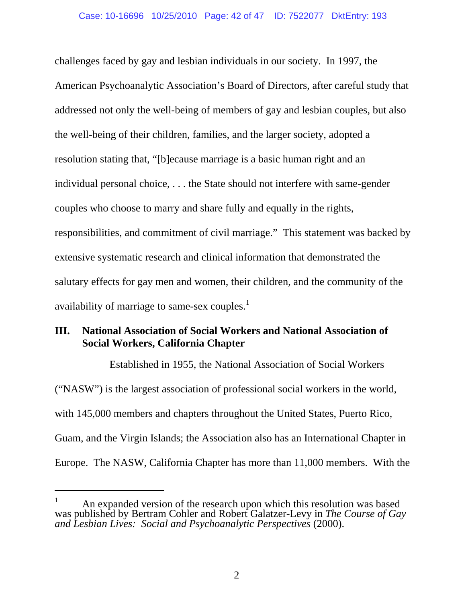challenges faced by gay and lesbian individuals in our society. In 1997, the American Psychoanalytic Association's Board of Directors, after careful study that addressed not only the well-being of members of gay and lesbian couples, but also the well-being of their children, families, and the larger society, adopted a resolution stating that, "[b]ecause marriage is a basic human right and an individual personal choice, . . . the State should not interfere with same-gender couples who choose to marry and share fully and equally in the rights, responsibilities, and commitment of civil marriage." This statement was backed by extensive systematic research and clinical information that demonstrated the salutary effects for gay men and women, their children, and the community of the availability of marriage to same-sex couples.<sup>1</sup>

# **III. National Association of Social Workers and National Association of Social Workers, California Chapter**

Established in 1955, the National Association of Social Workers ("NASW") is the largest association of professional social workers in the world, with 145,000 members and chapters throughout the United States, Puerto Rico, Guam, and the Virgin Islands; the Association also has an International Chapter in Europe. The NASW, California Chapter has more than 11,000 members. With the

-

<sup>1</sup> An expanded version of the research upon which this resolution was based was published by Bertram Cohler and Robert Galatzer-Levy in *The Course of Gay and Lesbian Lives: Social and Psychoanalytic Perspectives* (2000).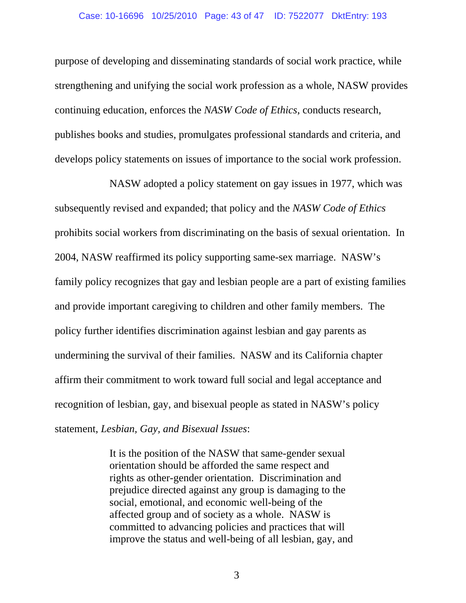purpose of developing and disseminating standards of social work practice, while strengthening and unifying the social work profession as a whole, NASW provides continuing education, enforces the *NASW Code of Ethics*, conducts research, publishes books and studies, promulgates professional standards and criteria, and develops policy statements on issues of importance to the social work profession.

NASW adopted a policy statement on gay issues in 1977, which was subsequently revised and expanded; that policy and the *NASW Code of Ethics* prohibits social workers from discriminating on the basis of sexual orientation. In 2004, NASW reaffirmed its policy supporting same-sex marriage. NASW's family policy recognizes that gay and lesbian people are a part of existing families and provide important caregiving to children and other family members. The policy further identifies discrimination against lesbian and gay parents as undermining the survival of their families. NASW and its California chapter affirm their commitment to work toward full social and legal acceptance and recognition of lesbian, gay, and bisexual people as stated in NASW's policy statement, *Lesbian, Gay, and Bisexual Issues*:

> It is the position of the NASW that same-gender sexual orientation should be afforded the same respect and rights as other-gender orientation. Discrimination and prejudice directed against any group is damaging to the social, emotional, and economic well-being of the affected group and of society as a whole. NASW is committed to advancing policies and practices that will improve the status and well-being of all lesbian, gay, and

> > 3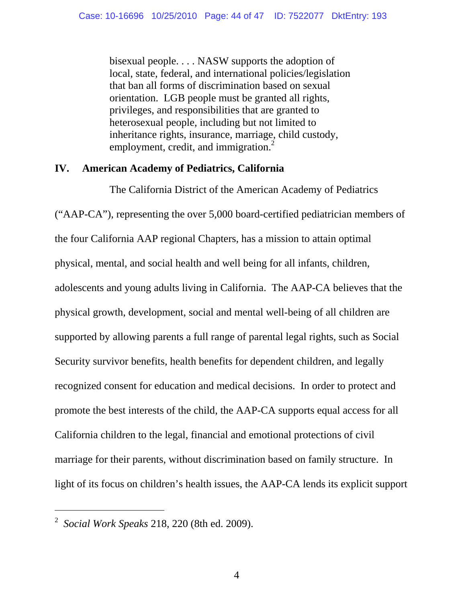bisexual people. . . . NASW supports the adoption of local, state, federal, and international policies/legislation that ban all forms of discrimination based on sexual orientation. LGB people must be granted all rights, privileges, and responsibilities that are granted to heterosexual people, including but not limited to inheritance rights, insurance, marriage, child custody, employment, credit, and immigration.<sup>2</sup>

## **IV. American Academy of Pediatrics, California**

The California District of the American Academy of Pediatrics ("AAP-CA"), representing the over 5,000 board-certified pediatrician members of the four California AAP regional Chapters, has a mission to attain optimal physical, mental, and social health and well being for all infants, children, adolescents and young adults living in California. The AAP-CA believes that the physical growth, development, social and mental well-being of all children are supported by allowing parents a full range of parental legal rights, such as Social Security survivor benefits, health benefits for dependent children, and legally recognized consent for education and medical decisions. In order to protect and promote the best interests of the child, the AAP-CA supports equal access for all California children to the legal, financial and emotional protections of civil marriage for their parents, without discrimination based on family structure. In light of its focus on children's health issues, the AAP-CA lends its explicit support

<sup>2</sup> *Social Work Speaks* 218, 220 (8th ed. 2009).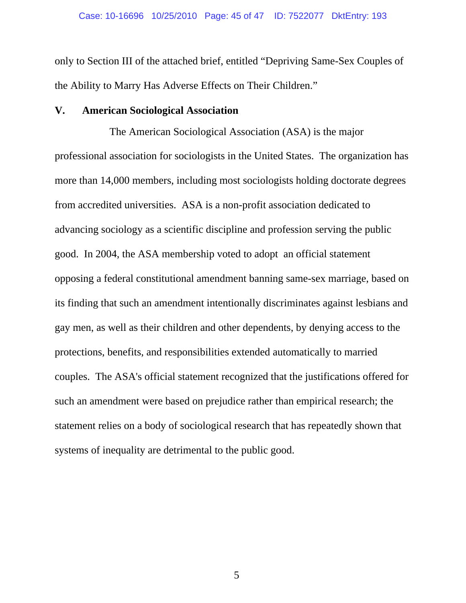only to Section III of the attached brief, entitled "Depriving Same-Sex Couples of the Ability to Marry Has Adverse Effects on Their Children."

## **V. American Sociological Association**

The American Sociological Association (ASA) is the major professional association for sociologists in the United States. The organization has more than 14,000 members, including most sociologists holding doctorate degrees from accredited universities. ASA is a non-profit association dedicated to advancing sociology as a scientific discipline and profession serving the public good. In 2004, the ASA membership voted to adopt an official statement opposing a federal constitutional amendment banning same-sex marriage, based on its finding that such an amendment intentionally discriminates against lesbians and gay men, as well as their children and other dependents, by denying access to the protections, benefits, and responsibilities extended automatically to married couples. The ASA's official statement recognized that the justifications offered for such an amendment were based on prejudice rather than empirical research; the statement relies on a body of sociological research that has repeatedly shown that systems of inequality are detrimental to the public good.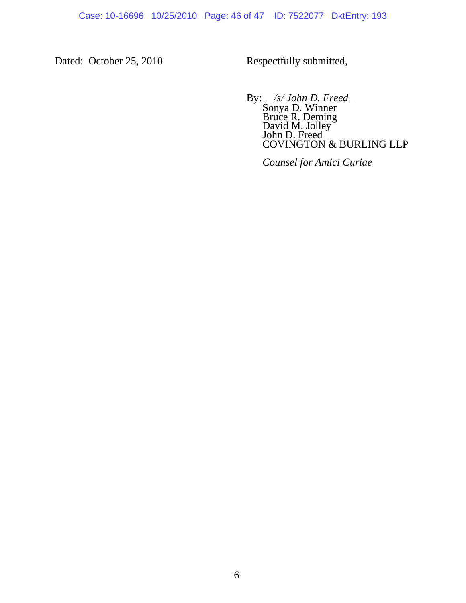Case: 10-16696 10/25/2010 Page: 46 of 47 ID: 7522077 DktEntry: 193

Dated: October 25, 2010 Respectfully submitted,

By: */s/ John D. Freed*<br>Sonya D. Winner<br>Bruce R. Deming David M. Jolley John D. Freed COVINGTON & BURLING LLP

*Counsel for Amici Curiae*